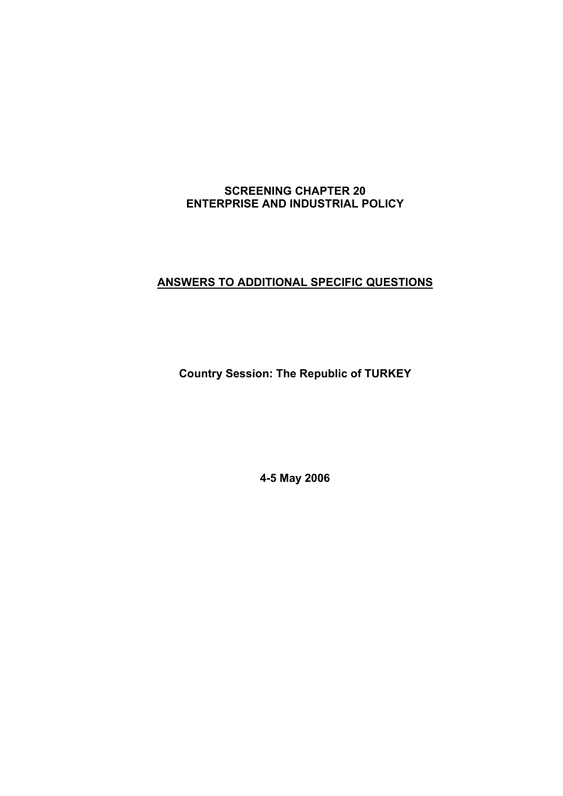## **ANSWERS TO ADDITIONAL SPECIFIC QUESTIONS**

**Country Session: The Republic of TURKEY** 

**4-5 May 2006**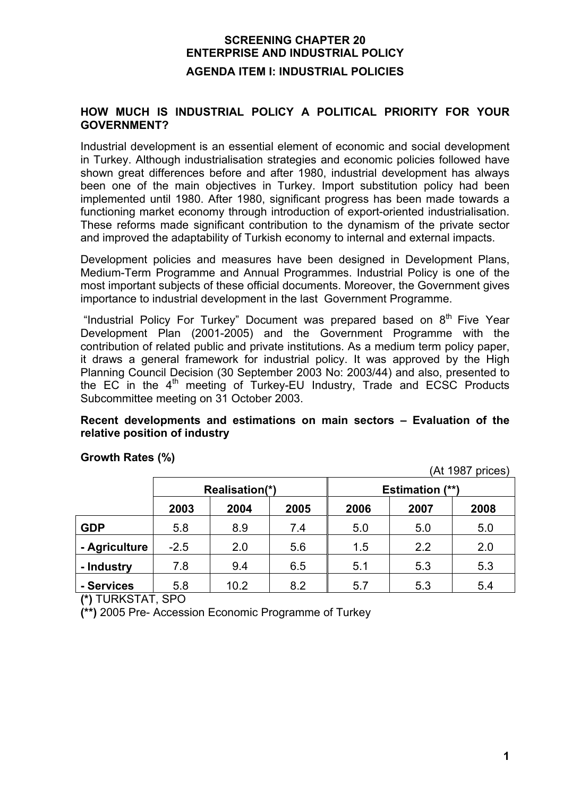#### **HOW MUCH IS INDUSTRIAL POLICY A POLITICAL PRIORITY FOR YOUR GOVERNMENT?**

Industrial development is an essential element of economic and social development in Turkey. Although industrialisation strategies and economic policies followed have shown great differences before and after 1980, industrial development has always been one of the main objectives in Turkey. Import substitution policy had been implemented until 1980. After 1980, significant progress has been made towards a functioning market economy through introduction of export-oriented industrialisation. These reforms made significant contribution to the dynamism of the private sector and improved the adaptability of Turkish economy to internal and external impacts.

Development policies and measures have been designed in Development Plans, Medium-Term Programme and Annual Programmes. Industrial Policy is one of the most important subjects of these official documents. Moreover, the Government gives importance to industrial development in the last Government Programme.

"Industrial Policy For Turkey" Document was prepared based on 8<sup>th</sup> Five Year Development Plan (2001-2005) and the Government Programme with the contribution of related public and private institutions. As a medium term policy paper, it draws a general framework for industrial policy. It was approved by the High Planning Council Decision (30 September 2003 No: 2003/44) and also, presented to the EC in the  $4<sup>th</sup>$  meeting of Turkey-EU Industry, Trade and ECSC Products Subcommittee meeting on 31 October 2003.

### **Recent developments and estimations on main sectors – Evaluation of the relative position of industry**

|               | Realisation(*) |      |      | <b>Estimation (**)</b> |      |      |
|---------------|----------------|------|------|------------------------|------|------|
|               | 2003           | 2004 | 2005 | 2006                   | 2007 | 2008 |
| <b>GDP</b>    | 5.8            | 8.9  | 7.4  | 5.0                    | 5.0  | 5.0  |
| - Agriculture | $-2.5$         | 2.0  | 5.6  | 1.5                    | 2.2  | 2.0  |
| - Industry    | 7.8            | 9.4  | 6.5  | 5.1                    | 5.3  | 5.3  |
| - Services    | 5.8            | 10.2 | 8.2  | 5.7                    | 5.3  | 5.4  |

**Growth Rates (%)** 

(At 1987 prices)

**(\*)** TURKSTAT, SPO

**(\*\*)** 2005 Pre- Accession Economic Programme of Turkey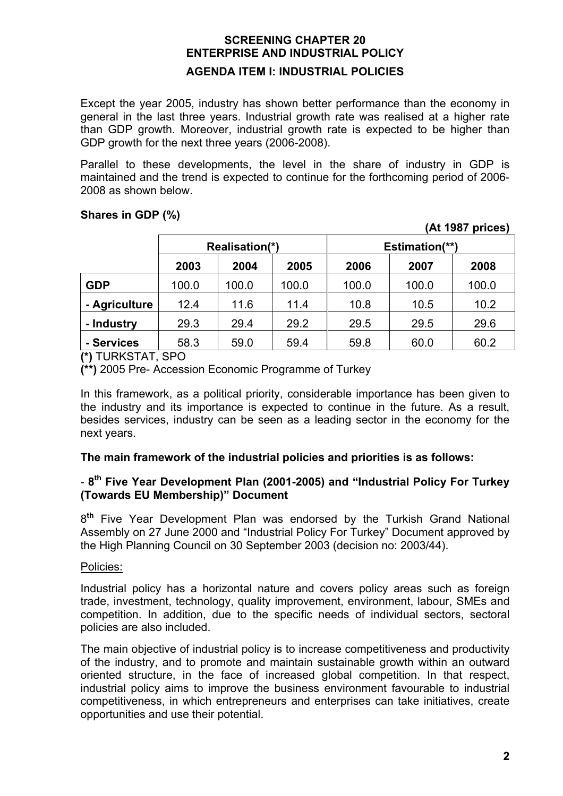Except the year 2005, industry has shown better performance than the economy in general in the last three years. Industrial growth rate was realised at a higher rate than GDP growth. Moreover, industrial growth rate is expected to be higher than GDP growth for the next three years (2006-2008).

Parallel to these developments, the level in the share of industry in GDP is maintained and the trend is expected to continue for the forthcoming period of 2006- 2008 as shown below.

### **Shares in GDP (%)**

|               | Realisation(*) |       | <b>Estimation(**)</b> |       |       |       |
|---------------|----------------|-------|-----------------------|-------|-------|-------|
|               | 2003           | 2004  | 2005                  | 2006  | 2007  | 2008  |
| <b>GDP</b>    | 100.0          | 100.0 | 100.0                 | 100.0 | 100.0 | 100.0 |
| - Agriculture | 12.4           | 11.6  | 11.4                  | 10.8  | 10.5  | 10.2  |
| - Industry    | 29.3           | 29.4  | 29.2                  | 29.5  | 29.5  | 29.6  |
| - Services    | 58.3           | 59.0  | 59.4                  | 59.8  | 60.0  | 60.2  |

**(\*)** TURKSTAT, SPO

**(\*\*)** 2005 Pre- Accession Economic Programme of Turkey

In this framework, as a political priority, considerable importance has been given to the industry and its importance is expected to continue in the future. As a result, besides services, industry can be seen as a leading sector in the economy for the next years.

#### **The main framework of the industrial policies and priorities is as follows:**

### - **8th Five Year Development Plan (2001-2005) and "Industrial Policy For Turkey (Towards EU Membership)" Document**

8**th** Five Year Development Plan was endorsed by the Turkish Grand National Assembly on 27 June 2000 and "Industrial Policy For Turkey" Document approved by the High Planning Council on 30 September 2003 (decision no: 2003/44).

#### Policies:

Industrial policy has a horizontal nature and covers policy areas such as foreign trade, investment, technology, quality improvement, environment, labour, SMEs and competition. In addition, due to the specific needs of individual sectors, sectoral policies are also included.

The main objective of industrial policy is to increase competitiveness and productivity of the industry, and to promote and maintain sustainable growth within an outward oriented structure, in the face of increased global competition. In that respect, industrial policy aims to improve the business environment favourable to industrial competitiveness, in which entrepreneurs and enterprises can take initiatives, create opportunities and use their potential.

 **(At 1987 prices)**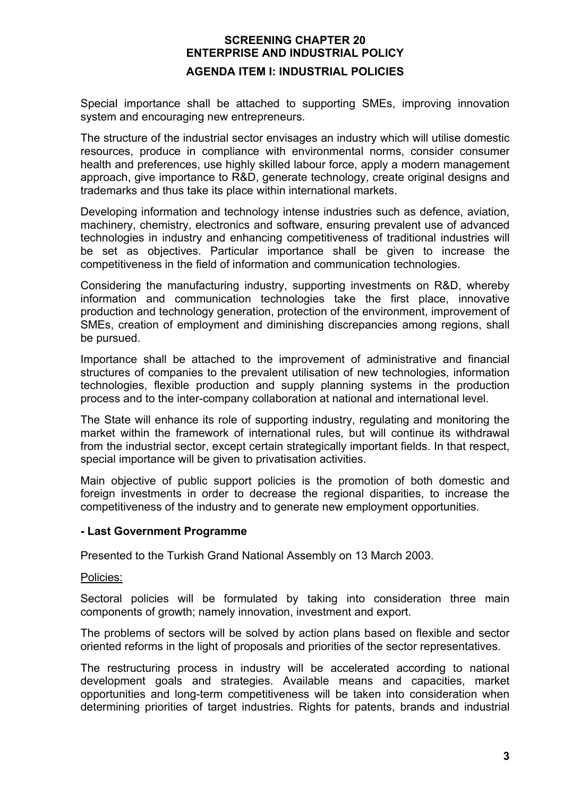Special importance shall be attached to supporting SMEs, improving innovation system and encouraging new entrepreneurs.

The structure of the industrial sector envisages an industry which will utilise domestic resources, produce in compliance with environmental norms, consider consumer health and preferences, use highly skilled labour force, apply a modern management approach, give importance to R&D, generate technology, create original designs and trademarks and thus take its place within international markets.

Developing information and technology intense industries such as defence, aviation, machinery, chemistry, electronics and software, ensuring prevalent use of advanced technologies in industry and enhancing competitiveness of traditional industries will be set as objectives. Particular importance shall be given to increase the competitiveness in the field of information and communication technologies.

Considering the manufacturing industry, supporting investments on R&D, whereby information and communication technologies take the first place, innovative production and technology generation, protection of the environment, improvement of SMEs, creation of employment and diminishing discrepancies among regions, shall be pursued.

Importance shall be attached to the improvement of administrative and financial structures of companies to the prevalent utilisation of new technologies, information technologies, flexible production and supply planning systems in the production process and to the inter-company collaboration at national and international level.

The State will enhance its role of supporting industry, regulating and monitoring the market within the framework of international rules, but will continue its withdrawal from the industrial sector, except certain strategically important fields. In that respect, special importance will be given to privatisation activities.

Main objective of public support policies is the promotion of both domestic and foreign investments in order to decrease the regional disparities, to increase the competitiveness of the industry and to generate new employment opportunities.

#### **- Last Government Programme**

Presented to the Turkish Grand National Assembly on 13 March 2003.

#### Policies:

Sectoral policies will be formulated by taking into consideration three main components of growth; namely innovation, investment and export.

The problems of sectors will be solved by action plans based on flexible and sector oriented reforms in the light of proposals and priorities of the sector representatives.

The restructuring process in industry will be accelerated according to national development goals and strategies. Available means and capacities, market opportunities and long-term competitiveness will be taken into consideration when determining priorities of target industries. Rights for patents, brands and industrial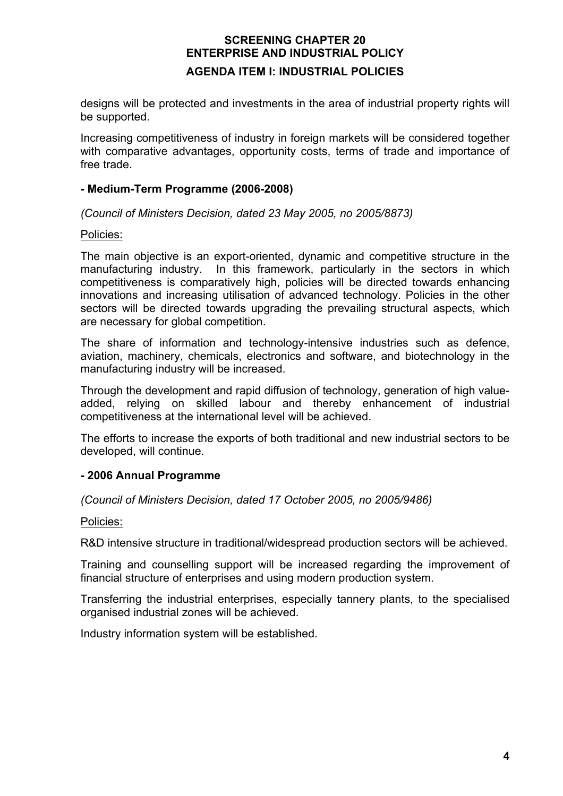designs will be protected and investments in the area of industrial property rights will be supported.

Increasing competitiveness of industry in foreign markets will be considered together with comparative advantages, opportunity costs, terms of trade and importance of free trade.

#### **- Medium-Term Programme (2006-2008)**

*(Council of Ministers Decision, dated 23 May 2005, no 2005/8873)* 

#### Policies:

The main objective is an export-oriented, dynamic and competitive structure in the manufacturing industry. In this framework, particularly in the sectors in which competitiveness is comparatively high, policies will be directed towards enhancing innovations and increasing utilisation of advanced technology. Policies in the other sectors will be directed towards upgrading the prevailing structural aspects, which are necessary for global competition.

The share of information and technology-intensive industries such as defence, aviation, machinery, chemicals, electronics and software, and biotechnology in the manufacturing industry will be increased.

Through the development and rapid diffusion of technology, generation of high valueadded, relying on skilled labour and thereby enhancement of industrial competitiveness at the international level will be achieved.

The efforts to increase the exports of both traditional and new industrial sectors to be developed, will continue.

#### **- 2006 Annual Programme**

*(Council of Ministers Decision, dated 17 October 2005, no 2005/9486)* 

#### Policies:

R&D intensive structure in traditional/widespread production sectors will be achieved.

Training and counselling support will be increased regarding the improvement of financial structure of enterprises and using modern production system.

Transferring the industrial enterprises, especially tannery plants, to the specialised organised industrial zones will be achieved.

Industry information system will be established.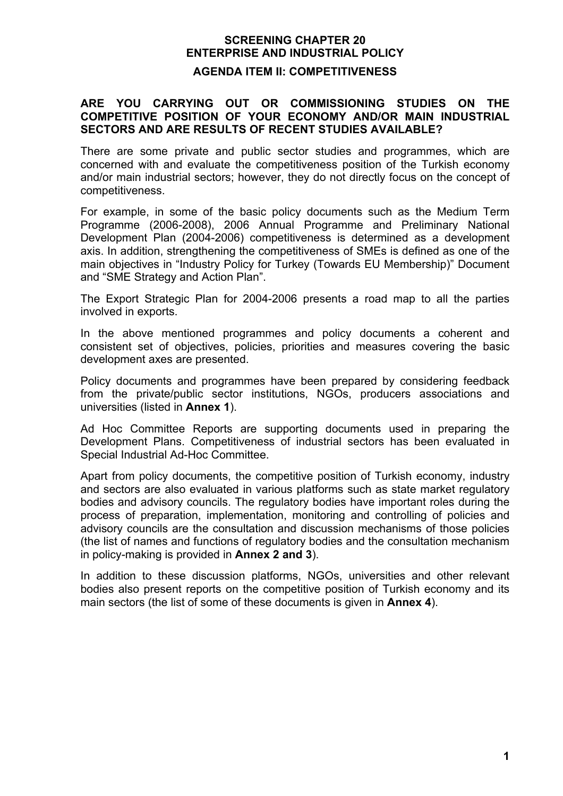#### **AGENDA ITEM II: COMPETITIVENESS**

#### **ARE YOU CARRYING OUT OR COMMISSIONING STUDIES ON THE COMPETITIVE POSITION OF YOUR ECONOMY AND/OR MAIN INDUSTRIAL SECTORS AND ARE RESULTS OF RECENT STUDIES AVAILABLE?**

There are some private and public sector studies and programmes, which are concerned with and evaluate the competitiveness position of the Turkish economy and/or main industrial sectors; however, they do not directly focus on the concept of competitiveness.

For example, in some of the basic policy documents such as the Medium Term Programme (2006-2008), 2006 Annual Programme and Preliminary National Development Plan (2004-2006) competitiveness is determined as a development axis. In addition, strengthening the competitiveness of SMEs is defined as one of the main objectives in "Industry Policy for Turkey (Towards EU Membership)" Document and "SME Strategy and Action Plan".

The Export Strategic Plan for 2004-2006 presents a road map to all the parties involved in exports.

In the above mentioned programmes and policy documents a coherent and consistent set of objectives, policies, priorities and measures covering the basic development axes are presented.

Policy documents and programmes have been prepared by considering feedback from the private/public sector institutions, NGOs, producers associations and universities (listed in **Annex 1**).

Ad Hoc Committee Reports are supporting documents used in preparing the Development Plans. Competitiveness of industrial sectors has been evaluated in Special Industrial Ad-Hoc Committee.

Apart from policy documents, the competitive position of Turkish economy, industry and sectors are also evaluated in various platforms such as state market regulatory bodies and advisory councils. The regulatory bodies have important roles during the process of preparation, implementation, monitoring and controlling of policies and advisory councils are the consultation and discussion mechanisms of those policies (the list of names and functions of regulatory bodies and the consultation mechanism in policy-making is provided in **Annex 2 and 3**).

In addition to these discussion platforms, NGOs, universities and other relevant bodies also present reports on the competitive position of Turkish economy and its main sectors (the list of some of these documents is given in **Annex 4**).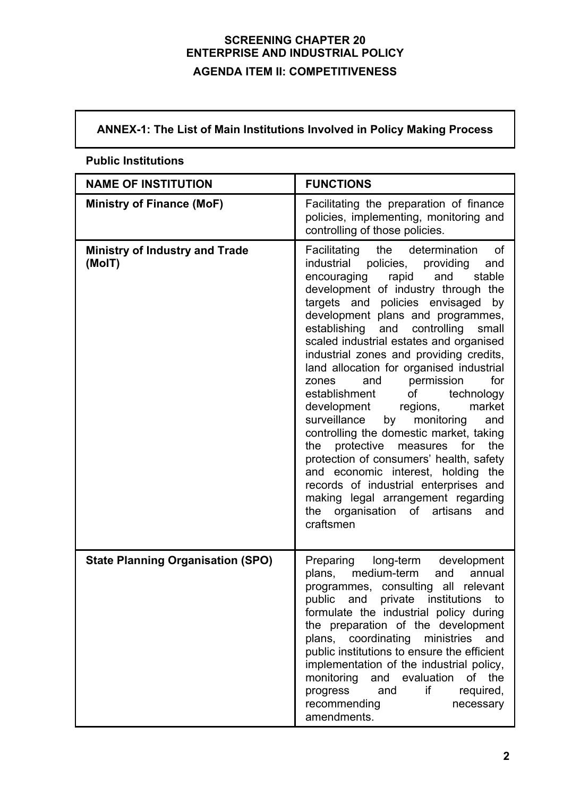# **ANNEX-1: The List of Main Institutions Involved in Policy Making Process**

| <b>NAME OF INSTITUTION</b>                      | <b>FUNCTIONS</b>                                                                                                                                                                                                                                                                                                                                                                                                                                                                                                                                                                                                                                                                                                                                                                                                                                                                              |
|-------------------------------------------------|-----------------------------------------------------------------------------------------------------------------------------------------------------------------------------------------------------------------------------------------------------------------------------------------------------------------------------------------------------------------------------------------------------------------------------------------------------------------------------------------------------------------------------------------------------------------------------------------------------------------------------------------------------------------------------------------------------------------------------------------------------------------------------------------------------------------------------------------------------------------------------------------------|
| Ministry of Finance (MoF)                       | Facilitating the preparation of finance<br>policies, implementing, monitoring and<br>controlling of those policies.                                                                                                                                                                                                                                                                                                                                                                                                                                                                                                                                                                                                                                                                                                                                                                           |
| <b>Ministry of Industry and Trade</b><br>(MoIT) | Facilitating the determination<br>0f<br>industrial policies, providing<br>and<br>and<br>stable<br>encouraging rapid<br>development of industry through the<br>targets and policies envisaged<br>by<br>development plans and programmes,<br>establishing<br>and<br>controlling<br>small<br>scaled industrial estates and organised<br>industrial zones and providing credits,<br>land allocation for organised industrial<br>and permission<br>for<br>zones<br>of technology<br>establishment<br>market<br>development regions,<br>surveillance<br>monitoring<br>by<br>and<br>controlling the domestic market, taking<br>the protective<br>for<br>the<br>measures<br>protection of consumers' health, safety<br>and economic interest, holding<br>the<br>records of industrial enterprises and<br>making legal arrangement regarding<br>organisation<br>of artisans<br>the<br>and<br>craftsmen |
| <b>State Planning Organisation (SPO)</b>        | Preparing long-term<br>development<br>medium-term<br>plans,<br>and<br>annual<br>programmes, consulting all relevant<br>and<br>private<br>public<br>institutions<br>to<br>formulate the industrial policy during<br>the preparation of the development<br>plans, coordinating<br>ministries<br>and<br>public institutions to ensure the efficient<br>implementation of the industrial policy,<br>monitoring and evaluation of the<br>if<br>progress<br>and<br>required,<br>recommending<br>necessary<br>amendments.                                                                                                                                                                                                                                                                                                                                                                            |

# **Public Institutions**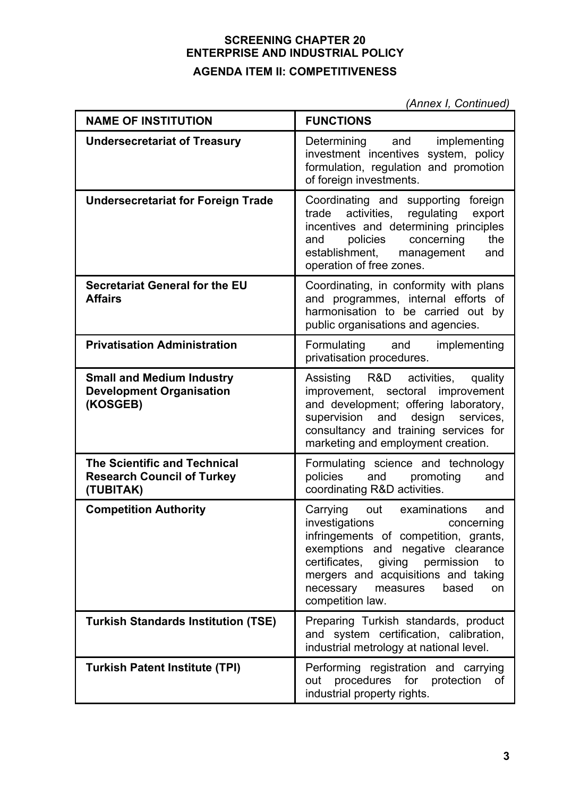*(Annex I, Continued)* 

| <b>NAME OF INSTITUTION</b>                                                            | <b>FUNCTIONS</b>                                                                                                                                                                                                                                                                                 |
|---------------------------------------------------------------------------------------|--------------------------------------------------------------------------------------------------------------------------------------------------------------------------------------------------------------------------------------------------------------------------------------------------|
| <b>Undersecretariat of Treasury</b>                                                   | Determining and implementing<br>investment incentives system, policy<br>formulation, regulation and promotion<br>of foreign investments.                                                                                                                                                         |
| <b>Undersecretariat for Foreign Trade</b>                                             | Coordinating and supporting foreign<br>activities, regulating<br>export<br>trade<br>incentives and determining principles<br>policies<br>concerning<br>the<br>and<br>establishment, management<br>and<br>operation of free zones.                                                                |
| <b>Secretariat General for the EU</b><br><b>Affairs</b>                               | Coordinating, in conformity with plans<br>and programmes, internal efforts of<br>harmonisation to be carried out by<br>public organisations and agencies.                                                                                                                                        |
| <b>Privatisation Administration</b>                                                   | Formulating and implementing<br>privatisation procedures.                                                                                                                                                                                                                                        |
| <b>Small and Medium Industry</b><br><b>Development Organisation</b><br>(KOSGEB)       | Assisting R&D activities,<br>quality<br>improvement, sectoral improvement<br>and development; offering laboratory,<br>design<br>services,<br>supervision<br>and<br>consultancy and training services for<br>marketing and employment creation.                                                   |
| <b>The Scientific and Technical</b><br><b>Research Council of Turkey</b><br>(TUBITAK) | Formulating science and technology<br>policies<br>and<br>promoting<br>and<br>coordinating R&D activities.                                                                                                                                                                                        |
| <b>Competition Authority</b>                                                          | Carrying out<br>examinations<br>and<br>investigations<br>concerning<br>infringements of competition, grants,<br>exemptions and negative clearance<br>certificates,<br>giving permission<br>to<br>mergers and acquisitions and taking<br>necessary<br>based<br>measures<br>on<br>competition law. |
| <b>Turkish Standards Institution (TSE)</b>                                            | Preparing Turkish standards, product<br>and system certification, calibration,<br>industrial metrology at national level.                                                                                                                                                                        |
| <b>Turkish Patent Institute (TPI)</b>                                                 | Performing registration and carrying<br>procedures for<br>protection<br>0f<br>out<br>industrial property rights.                                                                                                                                                                                 |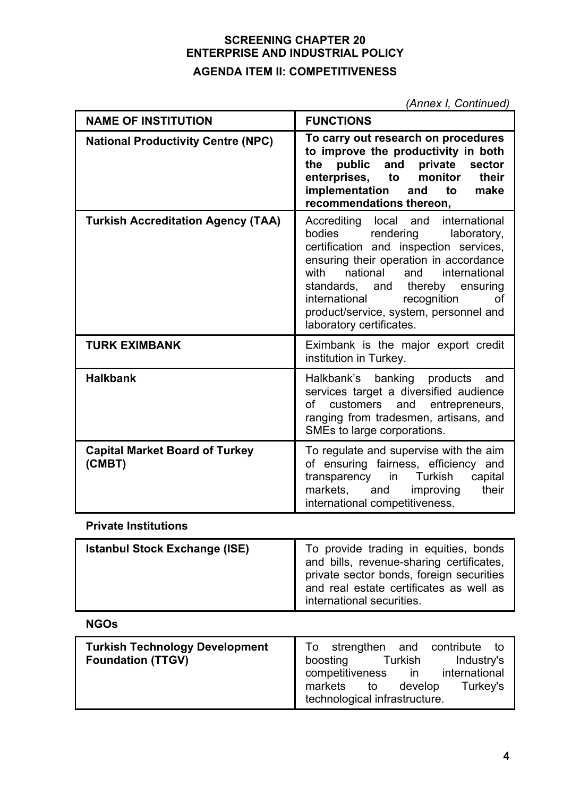*(Annex I, Continued)*

| <b>NAME OF INSTITUTION</b>                                                                                                                                                                                                                                                                                                                                                                   | <b>FUNCTIONS</b>                                                                                                                                                                                                                  |  |
|----------------------------------------------------------------------------------------------------------------------------------------------------------------------------------------------------------------------------------------------------------------------------------------------------------------------------------------------------------------------------------------------|-----------------------------------------------------------------------------------------------------------------------------------------------------------------------------------------------------------------------------------|--|
| <b>National Productivity Centre (NPC)</b>                                                                                                                                                                                                                                                                                                                                                    | To carry out research on procedures<br>to improve the productivity in both<br>and<br>private<br>public<br>the<br>sector<br>enterprises,<br>monitor<br>their<br>to<br>implementation<br>and to<br>make<br>recommendations thereon, |  |
| <b>Turkish Accreditation Agency (TAA)</b><br>international<br>Accrediting<br>local and<br>bodies<br>rendering<br>laboratory,<br>certification and inspection services,<br>ensuring their operation in accordance<br>national<br>and<br>international<br>with<br>standards, and thereby<br>international<br>recognition<br>product/service, system, personnel and<br>laboratory certificates. |                                                                                                                                                                                                                                   |  |
| <b>TURK EXIMBANK</b>                                                                                                                                                                                                                                                                                                                                                                         | Eximbank is the major export credit<br>institution in Turkey.                                                                                                                                                                     |  |
| <b>Halkbank</b>                                                                                                                                                                                                                                                                                                                                                                              | Halkbank's banking products<br>and<br>services target a diversified audience<br>customers<br>and<br>entrepreneurs,<br>of<br>ranging from tradesmen, artisans, and<br>SMEs to large corporations.                                  |  |
| <b>Capital Market Board of Turkey</b><br>(CMBT)                                                                                                                                                                                                                                                                                                                                              | To regulate and supervise with the aim<br>of ensuring fairness, efficiency and<br>Turkish<br>capital<br>transparency in<br>markets.<br>and<br>improving<br>their<br>international competitiveness.                                |  |

# **Private Institutions**

| <b>Istanbul Stock Exchange (ISE)</b> | To provide trading in equities, bonds<br>and bills, revenue-sharing certificates,                                |
|--------------------------------------|------------------------------------------------------------------------------------------------------------------|
|                                      | private sector bonds, foreign securities<br>and real estate certificates as well as<br>international securities. |

# **NGOs**

| <b>Turkish Technology Development</b><br><b>Foundation (TTGV)</b> | To strengthen and contribute to<br>Turkish<br>Industry's<br>boosting<br>competitiveness in international<br>develop<br>Turkey's<br>markets to<br>technological infrastructure. |
|-------------------------------------------------------------------|--------------------------------------------------------------------------------------------------------------------------------------------------------------------------------|
|-------------------------------------------------------------------|--------------------------------------------------------------------------------------------------------------------------------------------------------------------------------|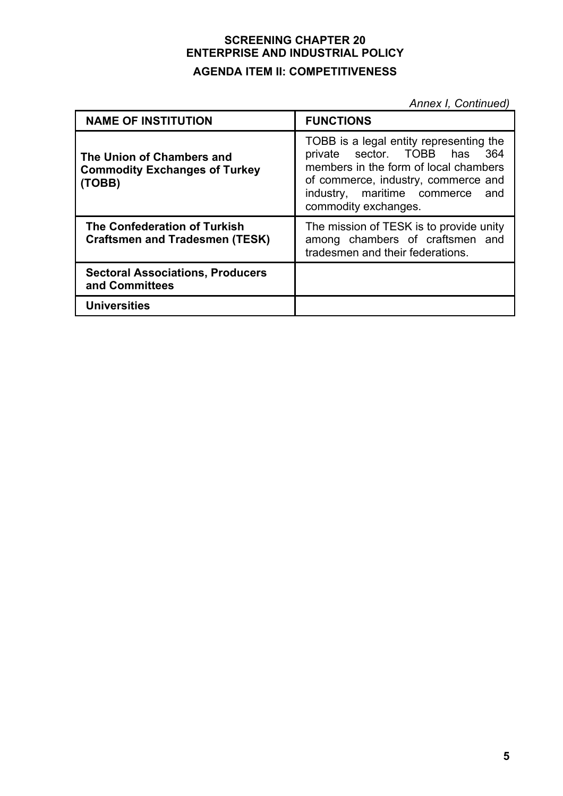*Annex I, Continued)*

| <b>NAME OF INSTITUTION</b>                                                  | <b>FUNCTIONS</b>                                                                                                                                                                                                      |
|-----------------------------------------------------------------------------|-----------------------------------------------------------------------------------------------------------------------------------------------------------------------------------------------------------------------|
| The Union of Chambers and<br><b>Commodity Exchanges of Turkey</b><br>(TOBB) | TOBB is a legal entity representing the<br>private sector. TOBB has 364<br>members in the form of local chambers<br>of commerce, industry, commerce and<br>industry, maritime commerce<br>and<br>commodity exchanges. |
| The Confederation of Turkish<br><b>Craftsmen and Tradesmen (TESK)</b>       | The mission of TESK is to provide unity<br>among chambers of craftsmen and<br>tradesmen and their federations.                                                                                                        |
| <b>Sectoral Associations, Producers</b><br>and Committees                   |                                                                                                                                                                                                                       |
| <b>Universities</b>                                                         |                                                                                                                                                                                                                       |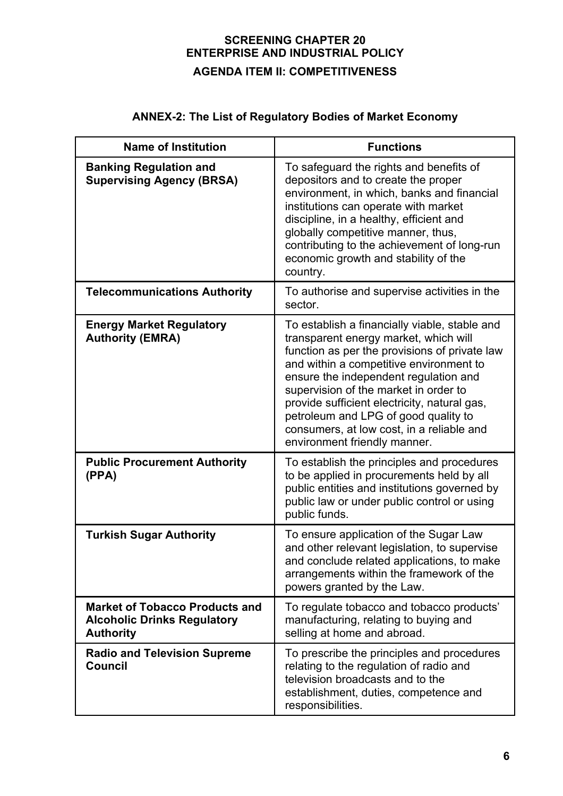# **ANNEX-2: The List of Regulatory Bodies of Market Economy**

| <b>Name of Institution</b>                                                                      | <b>Functions</b>                                                                                                                                                                                                                                                                                                                                                                                                                          |
|-------------------------------------------------------------------------------------------------|-------------------------------------------------------------------------------------------------------------------------------------------------------------------------------------------------------------------------------------------------------------------------------------------------------------------------------------------------------------------------------------------------------------------------------------------|
| <b>Banking Regulation and</b><br><b>Supervising Agency (BRSA)</b>                               | To safeguard the rights and benefits of<br>depositors and to create the proper<br>environment, in which, banks and financial<br>institutions can operate with market<br>discipline, in a healthy, efficient and<br>globally competitive manner, thus,<br>contributing to the achievement of long-run<br>economic growth and stability of the<br>country.                                                                                  |
| <b>Telecommunications Authority</b>                                                             | To authorise and supervise activities in the<br>sector.                                                                                                                                                                                                                                                                                                                                                                                   |
| <b>Energy Market Regulatory</b><br><b>Authority (EMRA)</b>                                      | To establish a financially viable, stable and<br>transparent energy market, which will<br>function as per the provisions of private law<br>and within a competitive environment to<br>ensure the independent regulation and<br>supervision of the market in order to<br>provide sufficient electricity, natural gas,<br>petroleum and LPG of good quality to<br>consumers, at low cost, in a reliable and<br>environment friendly manner. |
| <b>Public Procurement Authority</b><br>(PPA)                                                    | To establish the principles and procedures<br>to be applied in procurements held by all<br>public entities and institutions governed by<br>public law or under public control or using<br>public funds.                                                                                                                                                                                                                                   |
| <b>Turkish Sugar Authority</b>                                                                  | To ensure application of the Sugar Law<br>and other relevant legislation, to supervise<br>and conclude related applications, to make<br>arrangements within the framework of the<br>powers granted by the Law.                                                                                                                                                                                                                            |
| <b>Market of Tobacco Products and</b><br><b>Alcoholic Drinks Regulatory</b><br><b>Authority</b> | To regulate tobacco and tobacco products'<br>manufacturing, relating to buying and<br>selling at home and abroad.                                                                                                                                                                                                                                                                                                                         |
| <b>Radio and Television Supreme</b><br><b>Council</b>                                           | To prescribe the principles and procedures<br>relating to the regulation of radio and<br>television broadcasts and to the<br>establishment, duties, competence and<br>responsibilities.                                                                                                                                                                                                                                                   |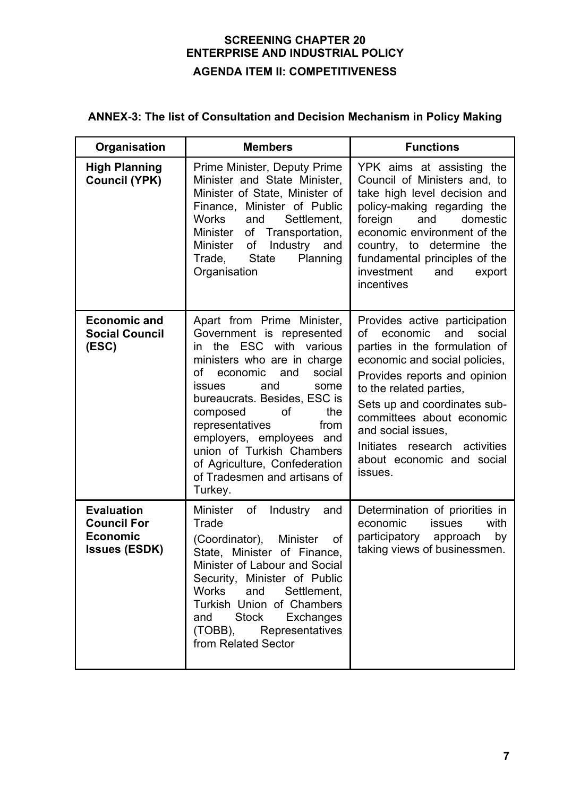# **ANNEX-3: The list of Consultation and Decision Mechanism in Policy Making**

| Organisation                                                                       | <b>Members</b>                                                                                                                                                                                                                                                                                                                                                                                                      | <b>Functions</b>                                                                                                                                                                                                                                                                                                                                          |
|------------------------------------------------------------------------------------|---------------------------------------------------------------------------------------------------------------------------------------------------------------------------------------------------------------------------------------------------------------------------------------------------------------------------------------------------------------------------------------------------------------------|-----------------------------------------------------------------------------------------------------------------------------------------------------------------------------------------------------------------------------------------------------------------------------------------------------------------------------------------------------------|
| <b>High Planning</b><br><b>Council (YPK)</b>                                       | Prime Minister, Deputy Prime<br>Minister and State Minister,<br>Minister of State, Minister of<br>Finance, Minister of Public<br>Settlement,<br>Works<br>and<br>Minister of Transportation,<br>Industry<br>Minister of<br>and<br>Trade, State<br>Planning<br>Organisation                                                                                                                                           | YPK aims at assisting the<br>Council of Ministers and, to<br>take high level decision and<br>policy-making regarding the<br>foreign<br>and<br>domestic<br>economic environment of the<br>country, to determine<br>the<br>fundamental principles of the<br>investment<br>and<br>export<br>incentives                                                       |
| <b>Economic and</b><br><b>Social Council</b><br>(ESC)                              | Apart from Prime Minister,<br>Government is represented<br>the ESC with<br>various<br>in<br>ministers who are in charge<br>οf<br>and<br>social<br>economic<br>and<br><b>issues</b><br>some<br>bureaucrats. Besides, ESC is<br>the<br>composed<br>οf<br>representatives<br>from<br>employers, employees and<br>union of Turkish Chambers<br>of Agriculture, Confederation<br>of Tradesmen and artisans of<br>Turkey. | Provides active participation<br>and<br>social<br>of<br>economic<br>parties in the formulation of<br>economic and social policies,<br>Provides reports and opinion<br>to the related parties,<br>Sets up and coordinates sub-<br>committees about economic<br>and social issues,<br>Initiates research activities<br>about economic and social<br>issues. |
| <b>Evaluation</b><br><b>Council For</b><br><b>Economic</b><br><b>Issues (ESDK)</b> | <b>Minister</b><br>of<br>Industry<br>and<br>Trade<br>(Coordinator),<br><b>Minister</b><br>οf<br>State, Minister of Finance,<br>Minister of Labour and Social<br>Security, Minister of Public<br>Works<br>and<br>Settlement,<br>Turkish Union of Chambers<br>Stock<br>Exchanges<br>and<br>(TOBB),<br>Representatives<br>from Related Sector                                                                          | Determination of priorities in<br>economic<br>issues<br>with<br>participatory approach<br>by<br>taking views of businessmen.                                                                                                                                                                                                                              |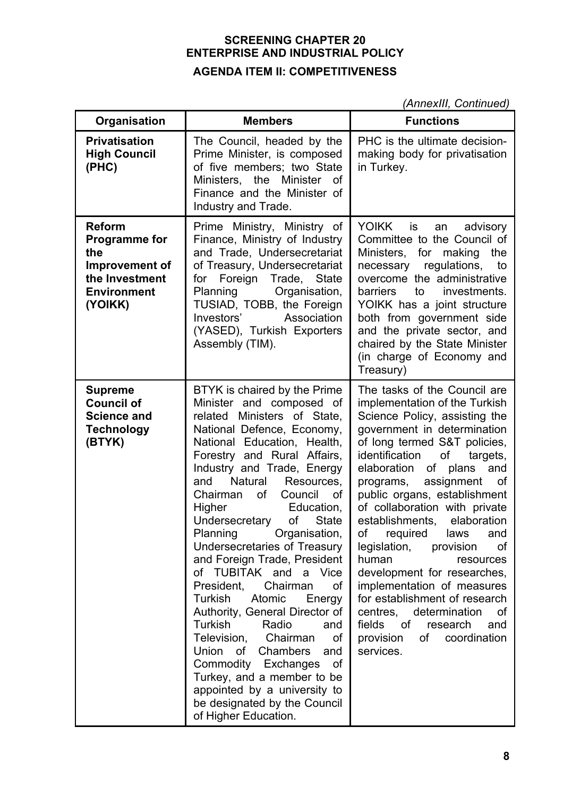*(AnnexIII, Continued)*

| Organisation                                                                                                      | <b>Members</b>                                                                                                                                                                                                                                                                                                                                                                                                                                                                                                                                                                                                                                                                                                                                                                                                   | <b>Functions</b>                                                                                                                                                                                                                                                                                                                                                                                                                                                                                                                                                                                                                                                 |
|-------------------------------------------------------------------------------------------------------------------|------------------------------------------------------------------------------------------------------------------------------------------------------------------------------------------------------------------------------------------------------------------------------------------------------------------------------------------------------------------------------------------------------------------------------------------------------------------------------------------------------------------------------------------------------------------------------------------------------------------------------------------------------------------------------------------------------------------------------------------------------------------------------------------------------------------|------------------------------------------------------------------------------------------------------------------------------------------------------------------------------------------------------------------------------------------------------------------------------------------------------------------------------------------------------------------------------------------------------------------------------------------------------------------------------------------------------------------------------------------------------------------------------------------------------------------------------------------------------------------|
| <b>Privatisation</b><br><b>High Council</b><br>(PHC)                                                              | The Council, headed by the<br>Prime Minister, is composed<br>of five members; two State<br>Ministers, the Minister<br>of<br>Finance and the Minister of<br>Industry and Trade.                                                                                                                                                                                                                                                                                                                                                                                                                                                                                                                                                                                                                                   | PHC is the ultimate decision-<br>making body for privatisation<br>in Turkey.                                                                                                                                                                                                                                                                                                                                                                                                                                                                                                                                                                                     |
| <b>Reform</b><br><b>Programme for</b><br>the<br>Improvement of<br>the Investment<br><b>Environment</b><br>(YOIKK) | Prime Ministry, Ministry of<br>Finance, Ministry of Industry<br>and Trade, Undersecretariat<br>of Treasury, Undersecretariat<br>for Foreign Trade, State<br>Organisation,<br>Planning<br>TUSIAD, TOBB, the Foreign<br>Investors'<br>Association<br>(YASED), Turkish Exporters<br>Assembly (TIM).                                                                                                                                                                                                                                                                                                                                                                                                                                                                                                                 | <b>YOIKK</b><br>is<br>advisory<br>an<br>Committee to the Council of<br>Ministers, for<br>the<br>making<br>necessary regulations, to<br>overcome the administrative<br>investments.<br><b>barriers</b><br>to<br>YOIKK has a joint structure<br>both from government side<br>and the private sector, and<br>chaired by the State Minister<br>(in charge of Economy and<br>Treasury)                                                                                                                                                                                                                                                                                |
| <b>Supreme</b><br><b>Council of</b><br><b>Science and</b><br><b>Technology</b><br>(BTYK)                          | BTYK is chaired by the Prime<br>Minister and composed of<br>related Ministers of State,<br>National Defence, Economy,<br>National Education, Health,<br>Forestry and Rural Affairs.<br>Industry and Trade, Energy<br>Natural<br>Resources,<br>and<br>Chairman<br>0f<br>Council<br>of<br>Higher<br>Education,<br>Undersecretary<br>of<br><b>State</b><br>Planning Organisation,<br>Undersecretaries of Treasury<br>and Foreign Trade, President<br>of TUBITAK and a Vice<br>Chairman<br>President,<br>0f<br>Turkish<br>Atomic<br>Energy<br>Authority, General Director of<br>Turkish<br>Radio<br>and<br>Television, Chairman<br>Οf<br>Union of Chambers<br>and<br>Commodity Exchanges<br>of<br>Turkey, and a member to be<br>appointed by a university to<br>be designated by the Council<br>of Higher Education. | The tasks of the Council are<br>implementation of the Turkish<br>Science Policy, assisting the<br>government in determination<br>of long termed S&T policies,<br>identification<br>of<br>targets,<br>elaboration<br>of plans<br>and<br>programs, assignment<br>0f<br>public organs, establishment<br>of collaboration with private<br>establishments,<br>elaboration<br>of required laws and<br>legislation,<br>Οf<br>provision<br>human<br>resources<br>development for researches,<br>implementation of measures<br>for establishment of research<br>centres, determination<br>0f<br>fields of research<br>and<br>coordination<br>provision<br>of<br>services. |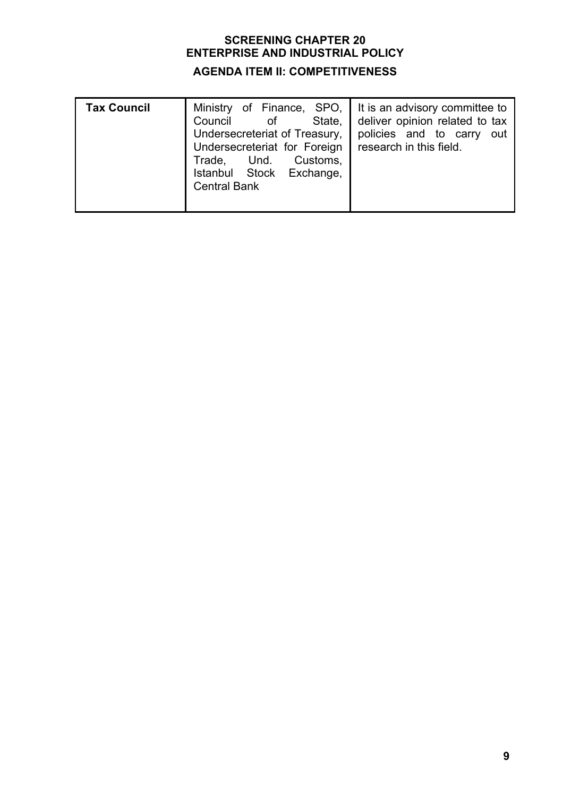# **AGENDA ITEM II: COMPETITIVENESS**

| <b>Tax Council</b> | State, I<br>0f<br>Council<br>Undersecreteriat of Treasury,<br>Undersecreteriat for Foreign<br>Trade, Und. Customs,<br>Istanbul Stock Exchange,<br><b>Central Bank</b> | Ministry of Finance, SPO, I It is an advisory committee to<br>deliver opinion related to tax<br>policies and to carry<br>out<br>research in this field. |
|--------------------|-----------------------------------------------------------------------------------------------------------------------------------------------------------------------|---------------------------------------------------------------------------------------------------------------------------------------------------------|
|                    |                                                                                                                                                                       |                                                                                                                                                         |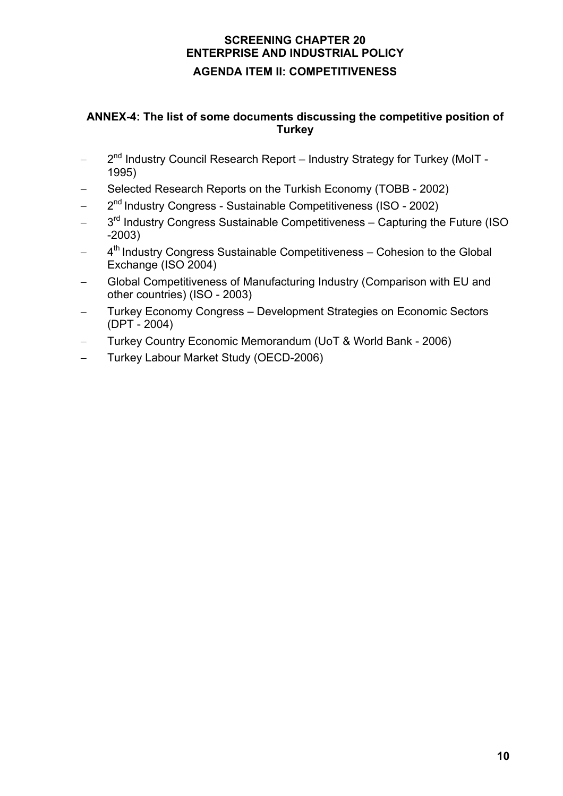# **ANNEX-4: The list of some documents discussing the competitive position of Turkey**

- − 2nd Industry Council Research Report Industry Strategy for Turkey (MoIT 1995)
- − Selected Research Reports on the Turkish Economy (TOBB 2002)
- 2<sup>nd</sup> Industry Congress Sustainable Competitiveness (ISO 2002)
- 3<sup>rd</sup> Industry Congress Sustainable Competitiveness Capturing the Future (ISO -2003)
- 4<sup>th</sup> Industry Congress Sustainable Competitiveness Cohesion to the Global Exchange (ISO 2004)
- Global Competitiveness of Manufacturing Industry (Comparison with EU and other countries) (ISO - 2003)
- − Turkey Economy Congress Development Strategies on Economic Sectors (DPT - 2004)
- − Turkey Country Economic Memorandum (UoT & World Bank 2006)
- − Turkey Labour Market Study (OECD-2006)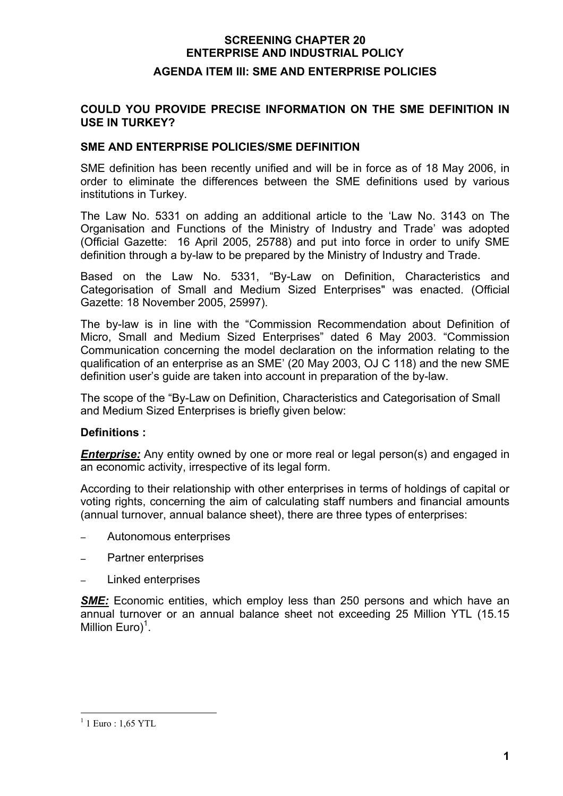#### **AGENDA ITEM III: SME AND ENTERPRISE POLICIES**

#### **COULD YOU PROVIDE PRECISE INFORMATION ON THE SME DEFINITION IN USE IN TURKEY?**

#### **SME AND ENTERPRISE POLICIES/SME DEFINITION**

SME definition has been recently unified and will be in force as of 18 May 2006, in order to eliminate the differences between the SME definitions used by various institutions in Turkey.

The Law No. 5331 on adding an additional article to the 'Law No. 3143 on The Organisation and Functions of the Ministry of Industry and Trade' was adopted (Official Gazette: 16 April 2005, 25788) and put into force in order to unify SME definition through a by-law to be prepared by the Ministry of Industry and Trade.

Based on the Law No. 5331, "By-Law on Definition, Characteristics and Categorisation of Small and Medium Sized Enterprises" was enacted. (Official Gazette: 18 November 2005, 25997).

The by-law is in line with the "Commission Recommendation about Definition of Micro, Small and Medium Sized Enterprises" dated 6 May 2003. "Commission Communication concerning the model declaration on the information relating to the qualification of an enterprise as an SME' (20 May 2003, OJ C 118) and the new SME definition user's guide are taken into account in preparation of the by-law.

The scope of the "By-Law on Definition, Characteristics and Categorisation of Small and Medium Sized Enterprises is briefly given below:

#### **Definitions :**

*Enterprise:* Any entity owned by one or more real or legal person(s) and engaged in an economic activity, irrespective of its legal form.

According to their relationship with other enterprises in terms of holdings of capital or voting rights, concerning the aim of calculating staff numbers and financial amounts (annual turnover, annual balance sheet), there are three types of enterprises:

- − Autonomous enterprises
- − Partner enterprises
- − Linked enterprises

**SME:** Economic entities, which employ less than 250 persons and which have an annual turnover or an annual balance sheet not exceeding 25 Million YTL (15.15 Million  $Euro)^1$ .

 $\overline{a}$  $1$  Luro : 1,65 YTL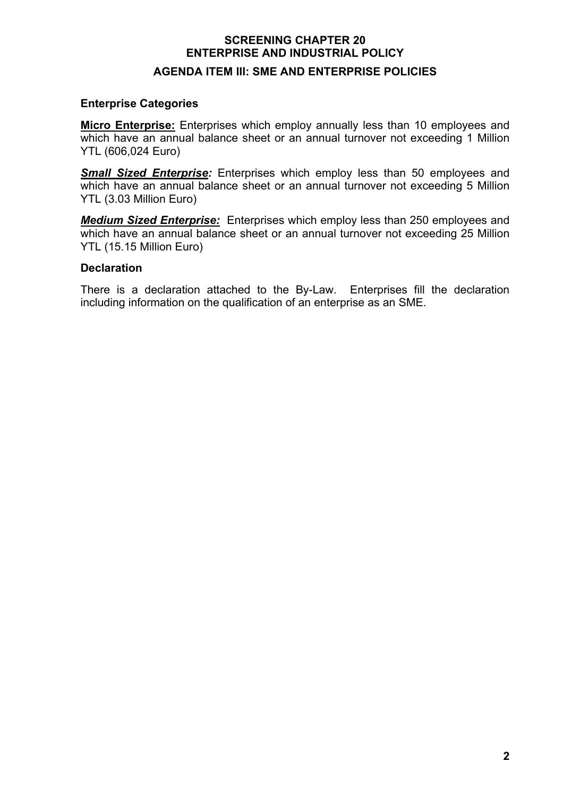# **SCREENING CHAPTER 20 ENTERPRISE AND INDUSTRIAL POLICY AGENDA ITEM III: SME AND ENTERPRISE POLICIES**

#### **Enterprise Categories**

**Micro Enterprise:** Enterprises which employ annually less than 10 employees and which have an annual balance sheet or an annual turnover not exceeding 1 Million YTL (606,024 Euro)

*Small Sized Enterprise:* Enterprises which employ less than 50 employees and which have an annual balance sheet or an annual turnover not exceeding 5 Million YTL (3.03 Million Euro)

*Medium Sized Enterprise:*Enterprises which employ less than 250 employees and which have an annual balance sheet or an annual turnover not exceeding 25 Million YTL (15.15 Million Euro)

#### **Declaration**

There is a declaration attached to the By-Law. Enterprises fill the declaration including information on the qualification of an enterprise as an SME.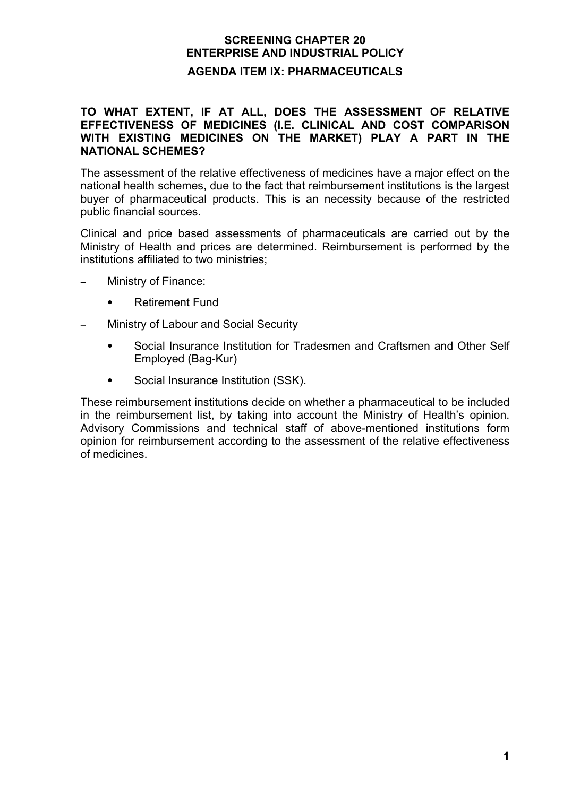# **SCREENING CHAPTER 20 ENTERPRISE AND INDUSTRIAL POLICY AGENDA ITEM IX: PHARMACEUTICALS**

#### **TO WHAT EXTENT, IF AT ALL, DOES THE ASSESSMENT OF RELATIVE EFFECTIVENESS OF MEDICINES (I.E. CLINICAL AND COST COMPARISON WITH EXISTING MEDICINES ON THE MARKET) PLAY A PART IN THE NATIONAL SCHEMES?**

The assessment of the relative effectiveness of medicines have a major effect on the national health schemes, due to the fact that reimbursement institutions is the largest buyer of pharmaceutical products. This is an necessity because of the restricted public financial sources.

Clinical and price based assessments of pharmaceuticals are carried out by the Ministry of Health and prices are determined. Reimbursement is performed by the institutions affiliated to two ministries;

- − Ministry of Finance:
	- **•** Retirement Fund
- − Ministry of Labour and Social Security
	- **•** Social Insurance Institution for Tradesmen and Craftsmen and Other Self Employed (Bag-Kur)
	- **•** Social Insurance Institution (SSK).

These reimbursement institutions decide on whether a pharmaceutical to be included in the reimbursement list, by taking into account the Ministry of Health's opinion. Advisory Commissions and technical staff of above-mentioned institutions form opinion for reimbursement according to the assessment of the relative effectiveness of medicines.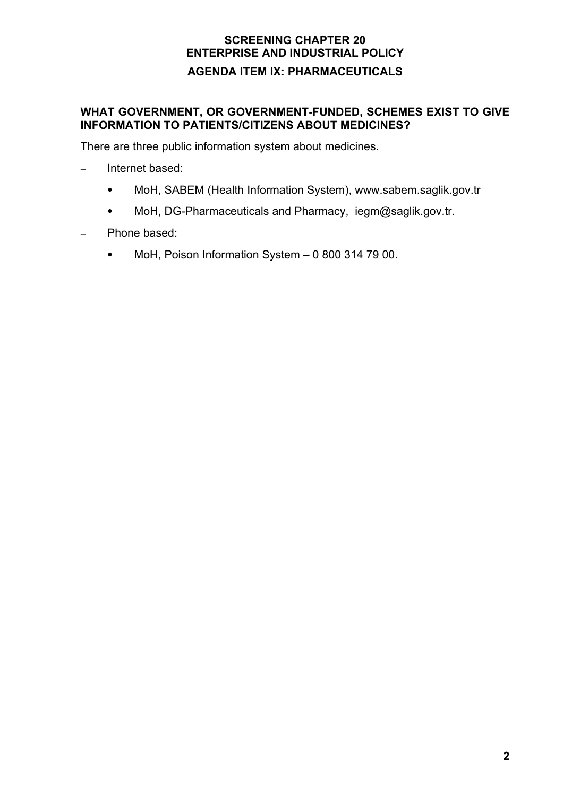# **SCREENING CHAPTER 20 ENTERPRISE AND INDUSTRIAL POLICY AGENDA ITEM IX: PHARMACEUTICALS**

## **WHAT GOVERNMENT, OR GOVERNMENT-FUNDED, SCHEMES EXIST TO GIVE INFORMATION TO PATIENTS/CITIZENS ABOUT MEDICINES?**

There are three public information system about medicines.

- − Internet based:
	- **•** MoH, SABEM (Health Information System), www.sabem.saglik.gov.tr
	- **•** MoH, DG-Pharmaceuticals and Pharmacy, iegm@saglik.gov.tr.
- − Phone based:
	- **•** MoH, Poison Information System 0 800 314 79 00.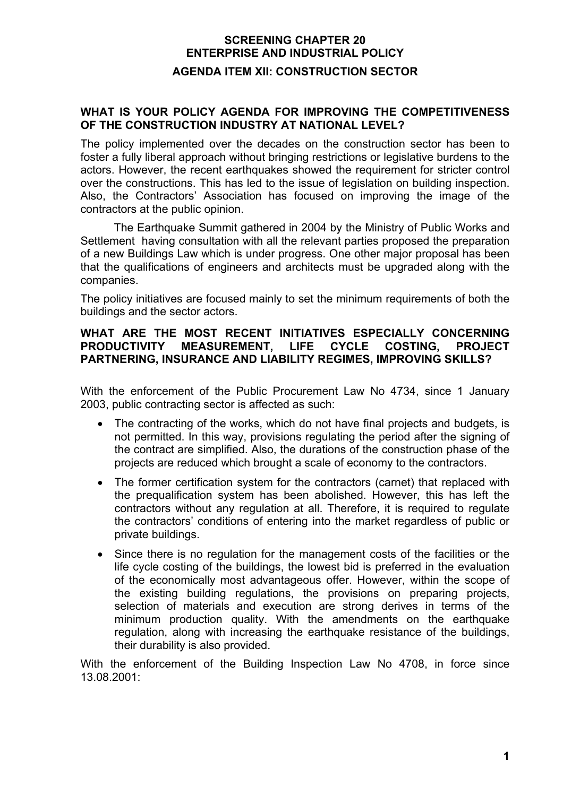# **SCREENING CHAPTER 20 ENTERPRISE AND INDUSTRIAL POLICY AGENDA ITEM XII: CONSTRUCTION SECTOR**

### **WHAT IS YOUR POLICY AGENDA FOR IMPROVING THE COMPETITIVENESS OF THE CONSTRUCTION INDUSTRY AT NATIONAL LEVEL?**

The policy implemented over the decades on the construction sector has been to foster a fully liberal approach without bringing restrictions or legislative burdens to the actors. However, the recent earthquakes showed the requirement for stricter control over the constructions. This has led to the issue of legislation on building inspection. Also, the Contractors' Association has focused on improving the image of the contractors at the public opinion.

The Earthquake Summit gathered in 2004 by the Ministry of Public Works and Settlement having consultation with all the relevant parties proposed the preparation of a new Buildings Law which is under progress. One other major proposal has been that the qualifications of engineers and architects must be upgraded along with the companies.

The policy initiatives are focused mainly to set the minimum requirements of both the buildings and the sector actors.

#### **WHAT ARE THE MOST RECENT INITIATIVES ESPECIALLY CONCERNING PRODUCTIVITY MEASUREMENT, LIFE CYCLE COSTING, PROJECT PARTNERING, INSURANCE AND LIABILITY REGIMES, IMPROVING SKILLS?**

With the enforcement of the Public Procurement Law No 4734, since 1 January 2003, public contracting sector is affected as such:

- The contracting of the works, which do not have final projects and budgets, is not permitted. In this way, provisions regulating the period after the signing of the contract are simplified. Also, the durations of the construction phase of the projects are reduced which brought a scale of economy to the contractors.
- The former certification system for the contractors (carnet) that replaced with the prequalification system has been abolished. However, this has left the contractors without any regulation at all. Therefore, it is required to regulate the contractors' conditions of entering into the market regardless of public or private buildings.
- Since there is no regulation for the management costs of the facilities or the life cycle costing of the buildings, the lowest bid is preferred in the evaluation of the economically most advantageous offer. However, within the scope of the existing building regulations, the provisions on preparing projects, selection of materials and execution are strong derives in terms of the minimum production quality. With the amendments on the earthquake regulation, along with increasing the earthquake resistance of the buildings, their durability is also provided.

With the enforcement of the Building Inspection Law No 4708, in force since 13.08.2001: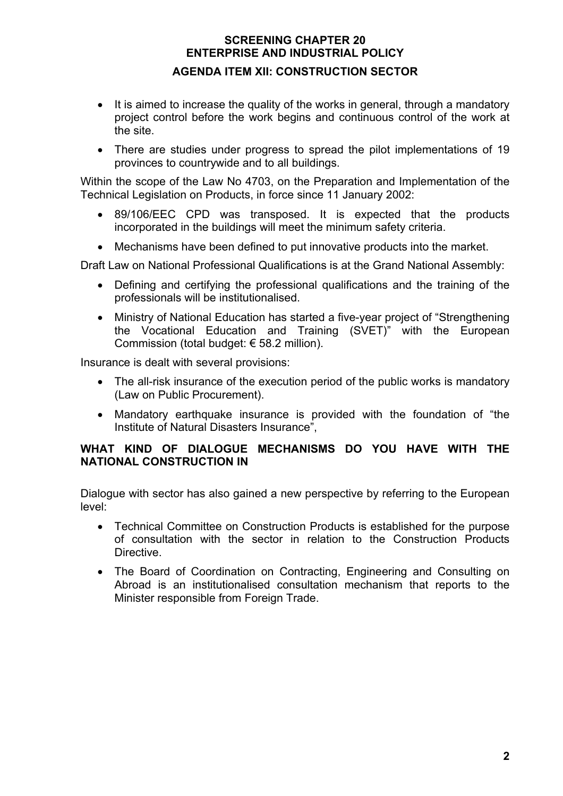# **SCREENING CHAPTER 20 ENTERPRISE AND INDUSTRIAL POLICY AGENDA ITEM XII: CONSTRUCTION SECTOR**

- It is aimed to increase the quality of the works in general, through a mandatory project control before the work begins and continuous control of the work at the site.
- There are studies under progress to spread the pilot implementations of 19 provinces to countrywide and to all buildings.

Within the scope of the Law No 4703, on the Preparation and Implementation of the Technical Legislation on Products, in force since 11 January 2002:

- 89/106/EEC CPD was transposed. It is expected that the products incorporated in the buildings will meet the minimum safety criteria.
- Mechanisms have been defined to put innovative products into the market.

Draft Law on National Professional Qualifications is at the Grand National Assembly:

- Defining and certifying the professional qualifications and the training of the professionals will be institutionalised.
- Ministry of National Education has started a five-year project of "Strengthening" the Vocational Education and Training (SVET)" with the European Commission (total budget: € 58.2 million).

Insurance is dealt with several provisions:

- The all-risk insurance of the execution period of the public works is mandatory (Law on Public Procurement).
- Mandatory earthquake insurance is provided with the foundation of "the Institute of Natural Disasters Insurance",

#### **WHAT KIND OF DIALOGUE MECHANISMS DO YOU HAVE WITH THE NATIONAL CONSTRUCTION IN**

Dialogue with sector has also gained a new perspective by referring to the European level:

- Technical Committee on Construction Products is established for the purpose of consultation with the sector in relation to the Construction Products Directive.
- The Board of Coordination on Contracting, Engineering and Consulting on Abroad is an institutionalised consultation mechanism that reports to the Minister responsible from Foreign Trade.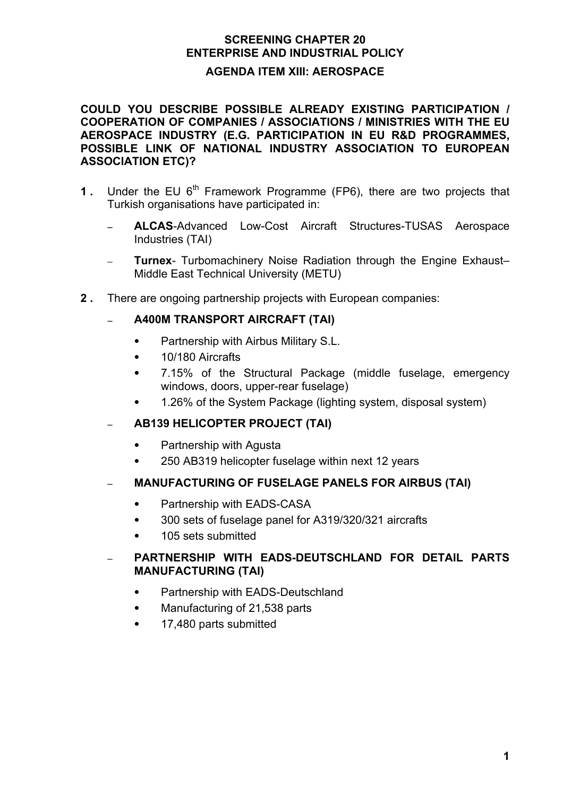#### **AGENDA ITEM XIII: AEROSPACE**

**COULD YOU DESCRIBE POSSIBLE ALREADY EXISTING PARTICIPATION / COOPERATION OF COMPANIES / ASSOCIATIONS / MINISTRIES WITH THE EU AEROSPACE INDUSTRY (E.G. PARTICIPATION IN EU R&D PROGRAMMES, POSSIBLE LINK OF NATIONAL INDUSTRY ASSOCIATION TO EUROPEAN ASSOCIATION ETC)?** 

- **1.** Under the EU 6<sup>th</sup> Framework Programme (FP6), there are two projects that Turkish organisations have participated in:
	- − **ALCAS**-Advanced Low-Cost Aircraft Structures-TUSAS Aerospace Industries (TAI)
	- − **Turnex** Turbomachinery Noise Radiation through the Engine Exhaust– Middle East Technical University (METU)
- **2 .** There are ongoing partnership projects with European companies:

## − **A400M TRANSPORT AIRCRAFT (TAI)**

- **•** Partnership with Airbus Military S.L.
- **•** 10/180 Aircrafts
- **•** 7.15% of the Structural Package (middle fuselage, emergency windows, doors, upper-rear fuselage)
- **•** 1.26% of the System Package (lighting system, disposal system)
- − **AB139 HELICOPTER PROJECT (TAI)**
	- **•** Partnership with Agusta
	- **•** 250 AB319 helicopter fuselage within next 12 years
- − **MANUFACTURING OF FUSELAGE PANELS FOR AIRBUS (TAI)**
	- **•** Partnership with EADS-CASA
	- **•** 300 sets of fuselage panel for A319/320/321 aircrafts
	- **•** 105 sets submitted

### − **PARTNERSHIP WITH EADS-DEUTSCHLAND FOR DETAIL PARTS MANUFACTURING (TAI)**

- **•** Partnership with EADS-Deutschland
- **•** Manufacturing of 21,538 parts
- **•** 17,480 parts submitted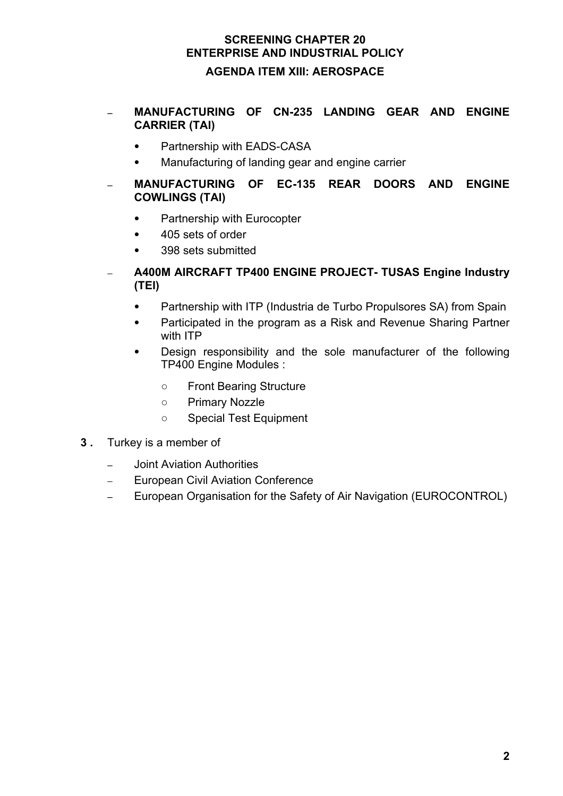# **SCREENING CHAPTER 20 ENTERPRISE AND INDUSTRIAL POLICY AGENDA ITEM XIII: AEROSPACE**

- − **MANUFACTURING OF CN-235 LANDING GEAR AND ENGINE CARRIER (TAI)**
	- **•** Partnership with EADS-CASA
	- **•** Manufacturing of landing gear and engine carrier
- − **MANUFACTURING OF EC-135 REAR DOORS AND ENGINE COWLINGS (TAI)**
	- **•** Partnership with Eurocopter
	- **•** 405 sets of order
	- **•** 398 sets submitted
- − **A400M AIRCRAFT TP400 ENGINE PROJECT- TUSAS Engine Industry (TEI)**
	- **•** Partnership with ITP (Industria de Turbo Propulsores SA) from Spain
	- **•** Participated in the program as a Risk and Revenue Sharing Partner with ITP
	- **•** Design responsibility and the sole manufacturer of the following TP400 Engine Modules :
		- **○** Front Bearing Structure
		- **○** Primary Nozzle
		- **○** Special Test Equipment
- **3 .** Turkey is a member of
	- − Joint Aviation Authorities
	- − European Civil Aviation Conference
	- − European Organisation for the Safety of Air Navigation (EUROCONTROL)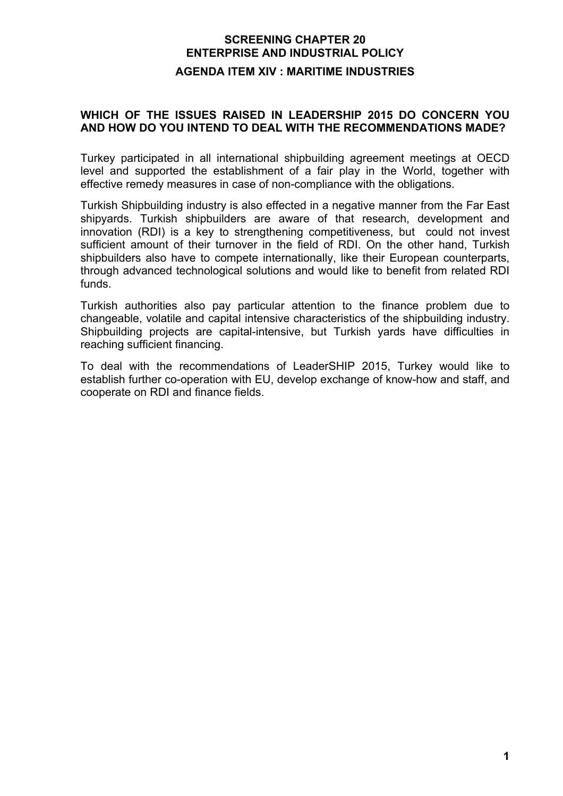# **SCREENING CHAPTER 20 ENTERPRISE AND INDUSTRIAL POLICY AGENDA ITEM XIV : MARITIME INDUSTRIES**

#### **WHICH OF THE ISSUES RAISED IN LEADERSHIP 2015 DO CONCERN YOU AND HOW DO YOU INTEND TO DEAL WITH THE RECOMMENDATIONS MADE?**

Turkey participated in all international shipbuilding agreement meetings at OECD level and supported the establishment of a fair play in the World, together with effective remedy measures in case of non-compliance with the obligations.

Turkish Shipbuilding industry is also effected in a negative manner from the Far East shipyards. Turkish shipbuilders are aware of that research, development and innovation (RDI) is a key to strengthening competitiveness, but could not invest sufficient amount of their turnover in the field of RDI. On the other hand, Turkish shipbuilders also have to compete internationally, like their European counterparts, through advanced technological solutions and would like to benefit from related RDI funds.

Turkish authorities also pay particular attention to the finance problem due to changeable, volatile and capital intensive characteristics of the shipbuilding industry. Shipbuilding projects are capital-intensive, but Turkish yards have difficulties in reaching sufficient financing.

To deal with the recommendations of LeaderSHIP 2015, Turkey would like to establish further co-operation with EU, develop exchange of know-how and staff, and cooperate on RDI and finance fields.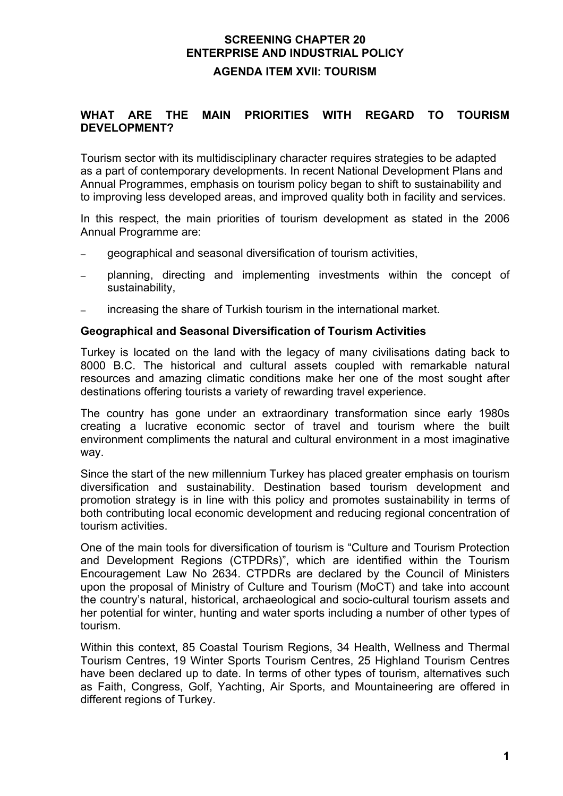# **SCREENING CHAPTER 20 ENTERPRISE AND INDUSTRIAL POLICY AGENDA ITEM XVII: TOURISM**

#### **WHAT ARE THE MAIN PRIORITIES WITH REGARD TO TOURISM DEVELOPMENT?**

Tourism sector with its multidisciplinary character requires strategies to be adapted as a part of contemporary developments. In recent National Development Plans and Annual Programmes, emphasis on tourism policy began to shift to sustainability and to improving less developed areas, and improved quality both in facility and services.

In this respect, the main priorities of tourism development as stated in the 2006 Annual Programme are:

- qeographical and seasonal diversification of tourism activities,
- − planning, directing and implementing investments within the concept of sustainability,
- − increasing the share of Turkish tourism in the international market.

#### **Geographical and Seasonal Diversification of Tourism Activities**

Turkey is located on the land with the legacy of many civilisations dating back to 8000 B.C. The historical and cultural assets coupled with remarkable natural resources and amazing climatic conditions make her one of the most sought after destinations offering tourists a variety of rewarding travel experience.

The country has gone under an extraordinary transformation since early 1980s creating a lucrative economic sector of travel and tourism where the built environment compliments the natural and cultural environment in a most imaginative way.

Since the start of the new millennium Turkey has placed greater emphasis on tourism diversification and sustainability. Destination based tourism development and promotion strategy is in line with this policy and promotes sustainability in terms of both contributing local economic development and reducing regional concentration of tourism activities.

One of the main tools for diversification of tourism is "Culture and Tourism Protection and Development Regions (CTPDRs)", which are identified within the Tourism Encouragement Law No 2634. CTPDRs are declared by the Council of Ministers upon the proposal of Ministry of Culture and Tourism (MoCT) and take into account the country's natural, historical, archaeological and socio-cultural tourism assets and her potential for winter, hunting and water sports including a number of other types of tourism.

Within this context, 85 Coastal Tourism Regions, 34 Health, Wellness and Thermal Tourism Centres, 19 Winter Sports Tourism Centres, 25 Highland Tourism Centres have been declared up to date. In terms of other types of tourism, alternatives such as Faith, Congress, Golf, Yachting, Air Sports, and Mountaineering are offered in different regions of Turkey.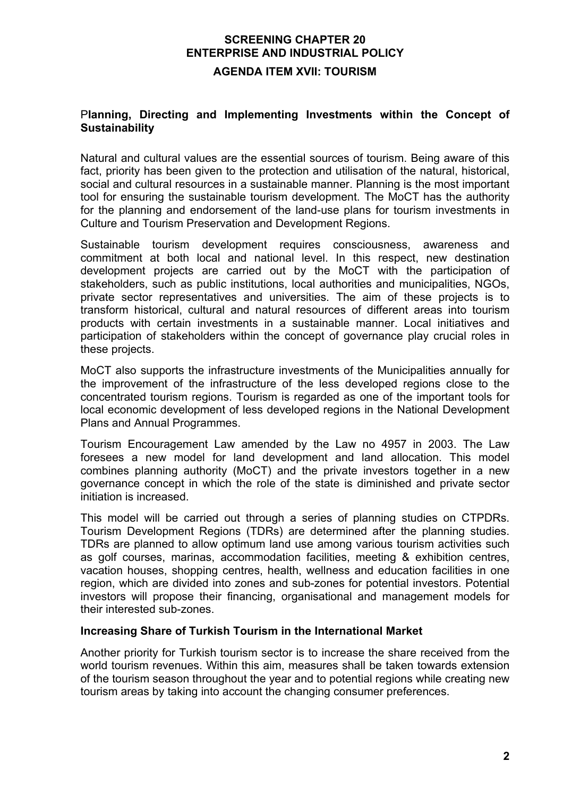# **SCREENING CHAPTER 20 ENTERPRISE AND INDUSTRIAL POLICY AGENDA ITEM XVII: TOURISM**

#### P**lanning, Directing and Implementing Investments within the Concept of Sustainability**

Natural and cultural values are the essential sources of tourism. Being aware of this fact, priority has been given to the protection and utilisation of the natural, historical, social and cultural resources in a sustainable manner. Planning is the most important tool for ensuring the sustainable tourism development. The MoCT has the authority for the planning and endorsement of the land-use plans for tourism investments in Culture and Tourism Preservation and Development Regions.

Sustainable tourism development requires consciousness, awareness and commitment at both local and national level. In this respect, new destination development projects are carried out by the MoCT with the participation of stakeholders, such as public institutions, local authorities and municipalities, NGOs, private sector representatives and universities. The aim of these projects is to transform historical, cultural and natural resources of different areas into tourism products with certain investments in a sustainable manner. Local initiatives and participation of stakeholders within the concept of governance play crucial roles in these projects.

MoCT also supports the infrastructure investments of the Municipalities annually for the improvement of the infrastructure of the less developed regions close to the concentrated tourism regions. Tourism is regarded as one of the important tools for local economic development of less developed regions in the National Development Plans and Annual Programmes.

Tourism Encouragement Law amended by the Law no 4957 in 2003. The Law foresees a new model for land development and land allocation. This model combines planning authority (MoCT) and the private investors together in a new governance concept in which the role of the state is diminished and private sector initiation is increased.

This model will be carried out through a series of planning studies on CTPDRs. Tourism Development Regions (TDRs) are determined after the planning studies. TDRs are planned to allow optimum land use among various tourism activities such as golf courses, marinas, accommodation facilities, meeting & exhibition centres, vacation houses, shopping centres, health, wellness and education facilities in one region, which are divided into zones and sub-zones for potential investors. Potential investors will propose their financing, organisational and management models for their interested sub-zones.

#### **Increasing Share of Turkish Tourism in the International Market**

Another priority for Turkish tourism sector is to increase the share received from the world tourism revenues. Within this aim, measures shall be taken towards extension of the tourism season throughout the year and to potential regions while creating new tourism areas by taking into account the changing consumer preferences.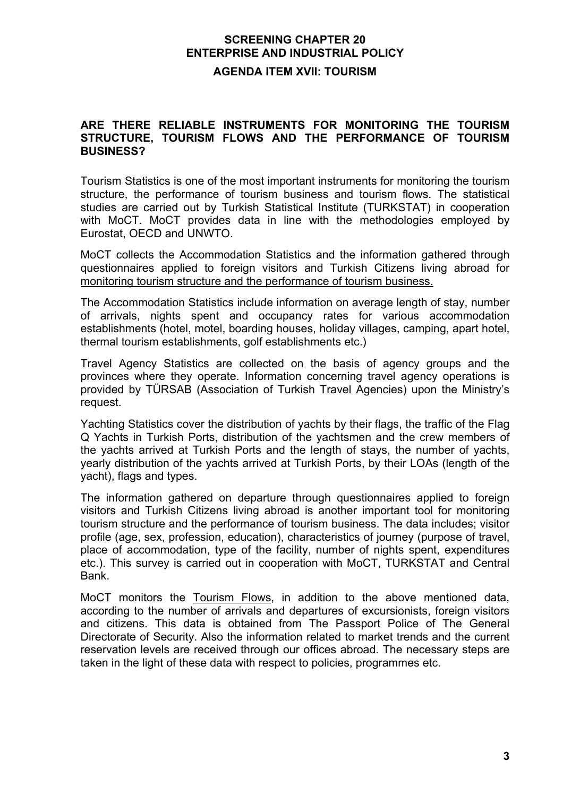# **SCREENING CHAPTER 20 ENTERPRISE AND INDUSTRIAL POLICY AGENDA ITEM XVII: TOURISM**

### **ARE THERE RELIABLE INSTRUMENTS FOR MONITORING THE TOURISM STRUCTURE, TOURISM FLOWS AND THE PERFORMANCE OF TOURISM BUSINESS?**

Tourism Statistics is one of the most important instruments for monitoring the tourism structure, the performance of tourism business and tourism flows. The statistical studies are carried out by Turkish Statistical Institute (TURKSTAT) in cooperation with MoCT. MoCT provides data in line with the methodologies employed by Eurostat, OECD and UNWTO.

MoCT collects the Accommodation Statistics and the information gathered through questionnaires applied to foreign visitors and Turkish Citizens living abroad for monitoring tourism structure and the performance of tourism business.

The Accommodation Statistics include information on average length of stay, number of arrivals, nights spent and occupancy rates for various accommodation establishments (hotel, motel, boarding houses, holiday villages, camping, apart hotel, thermal tourism establishments, golf establishments etc.)

Travel Agency Statistics are collected on the basis of agency groups and the provinces where they operate. Information concerning travel agency operations is provided by TÜRSAB (Association of Turkish Travel Agencies) upon the Ministry's request.

Yachting Statistics cover the distribution of yachts by their flags, the traffic of the Flag Q Yachts in Turkish Ports, distribution of the yachtsmen and the crew members of the yachts arrived at Turkish Ports and the length of stays, the number of yachts, yearly distribution of the yachts arrived at Turkish Ports, by their LOAs (length of the yacht), flags and types.

The information gathered on departure through questionnaires applied to foreign visitors and Turkish Citizens living abroad is another important tool for monitoring tourism structure and the performance of tourism business. The data includes; visitor profile (age, sex, profession, education), characteristics of journey (purpose of travel, place of accommodation, type of the facility, number of nights spent, expenditures etc.). This survey is carried out in cooperation with MoCT, TURKSTAT and Central Bank.

MoCT monitors the Tourism Flows, in addition to the above mentioned data, according to the number of arrivals and departures of excursionists, foreign visitors and citizens. This data is obtained from The Passport Police of The General Directorate of Security. Also the information related to market trends and the current reservation levels are received through our offices abroad. The necessary steps are taken in the light of these data with respect to policies, programmes etc.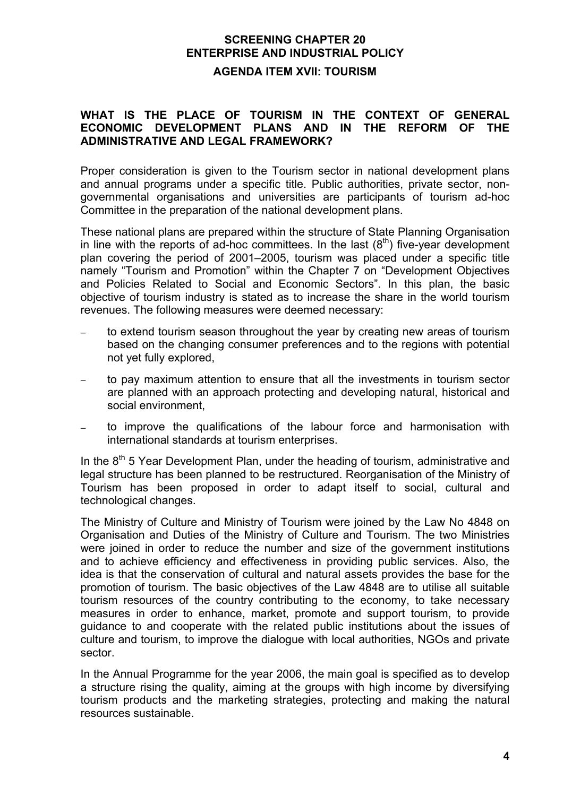#### **AGENDA ITEM XVII: TOURISM**

#### **WHAT IS THE PLACE OF TOURISM IN THE CONTEXT OF GENERAL ECONOMIC DEVELOPMENT PLANS AND IN THE REFORM OF THE ADMINISTRATIVE AND LEGAL FRAMEWORK?**

Proper consideration is given to the Tourism sector in national development plans and annual programs under a specific title. Public authorities, private sector, nongovernmental organisations and universities are participants of tourism ad-hoc Committee in the preparation of the national development plans.

These national plans are prepared within the structure of State Planning Organisation in line with the reports of ad-hoc committees. In the last  $(8<sup>th</sup>)$  five-year development plan covering the period of 2001–2005, tourism was placed under a specific title namely "Tourism and Promotion" within the Chapter 7 on "Development Objectives and Policies Related to Social and Economic Sectors". In this plan, the basic objective of tourism industry is stated as to increase the share in the world tourism revenues. The following measures were deemed necessary:

- to extend tourism season throughout the year by creating new areas of tourism based on the changing consumer preferences and to the regions with potential not yet fully explored,
- to pay maximum attention to ensure that all the investments in tourism sector are planned with an approach protecting and developing natural, historical and social environment,
- to improve the qualifications of the labour force and harmonisation with international standards at tourism enterprises.

In the  $8<sup>th</sup>$  5 Year Development Plan, under the heading of tourism, administrative and legal structure has been planned to be restructured. Reorganisation of the Ministry of Tourism has been proposed in order to adapt itself to social, cultural and technological changes.

The Ministry of Culture and Ministry of Tourism were joined by the Law No 4848 on Organisation and Duties of the Ministry of Culture and Tourism. The two Ministries were joined in order to reduce the number and size of the government institutions and to achieve efficiency and effectiveness in providing public services. Also, the idea is that the conservation of cultural and natural assets provides the base for the promotion of tourism. The basic objectives of the Law 4848 are to utilise all suitable tourism resources of the country contributing to the economy, to take necessary measures in order to enhance, market, promote and support tourism, to provide guidance to and cooperate with the related public institutions about the issues of culture and tourism, to improve the dialogue with local authorities, NGOs and private sector.

In the Annual Programme for the year 2006, the main goal is specified as to develop a structure rising the quality, aiming at the groups with high income by diversifying tourism products and the marketing strategies, protecting and making the natural resources sustainable.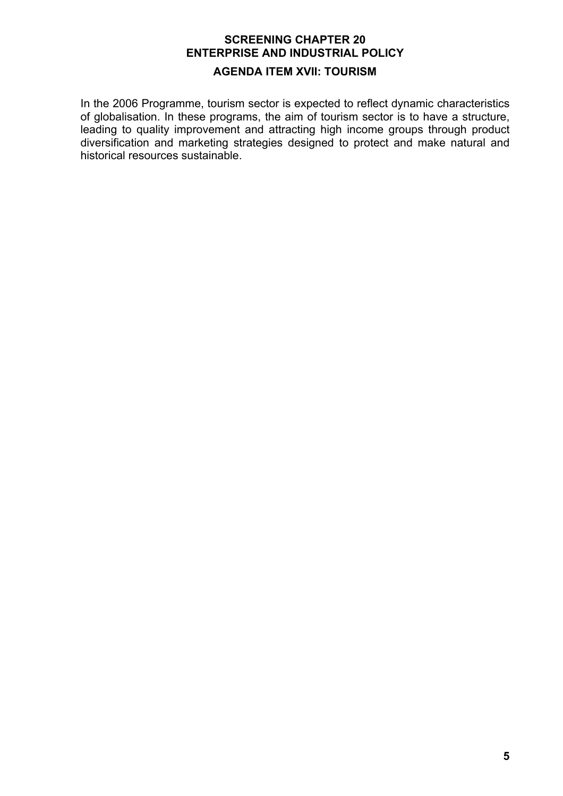# **AGENDA ITEM XVII: TOURISM**

In the 2006 Programme, tourism sector is expected to reflect dynamic characteristics of globalisation. In these programs, the aim of tourism sector is to have a structure, leading to quality improvement and attracting high income groups through product diversification and marketing strategies designed to protect and make natural and historical resources sustainable.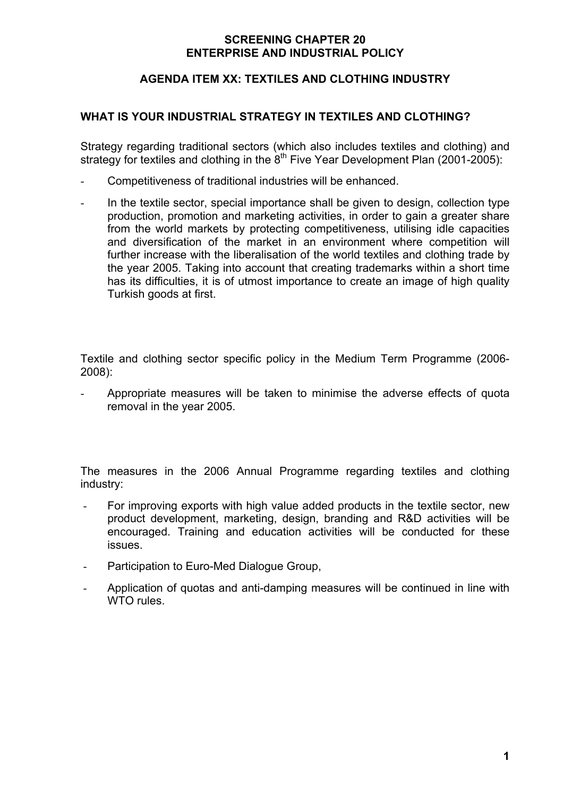### **AGENDA ITEM XX: TEXTILES AND CLOTHING INDUSTRY**

#### **WHAT IS YOUR INDUSTRIAL STRATEGY IN TEXTILES AND CLOTHING?**

Strategy regarding traditional sectors (which also includes textiles and clothing) and strategy for textiles and clothing in the  $8<sup>th</sup>$  Five Year Development Plan (2001-2005):

- Competitiveness of traditional industries will be enhanced.
- In the textile sector, special importance shall be given to design, collection type production, promotion and marketing activities, in order to gain a greater share from the world markets by protecting competitiveness, utilising idle capacities and diversification of the market in an environment where competition will further increase with the liberalisation of the world textiles and clothing trade by the year 2005. Taking into account that creating trademarks within a short time has its difficulties, it is of utmost importance to create an image of high quality Turkish goods at first.

Textile and clothing sector specific policy in the Medium Term Programme (2006- 2008):

- Appropriate measures will be taken to minimise the adverse effects of quota removal in the year 2005.

The measures in the 2006 Annual Programme regarding textiles and clothing industry:

- For improving exports with high value added products in the textile sector, new product development, marketing, design, branding and R&D activities will be encouraged. Training and education activities will be conducted for these issues.
- Participation to Euro-Med Dialogue Group,
- Application of quotas and anti-damping measures will be continued in line with WTO rules.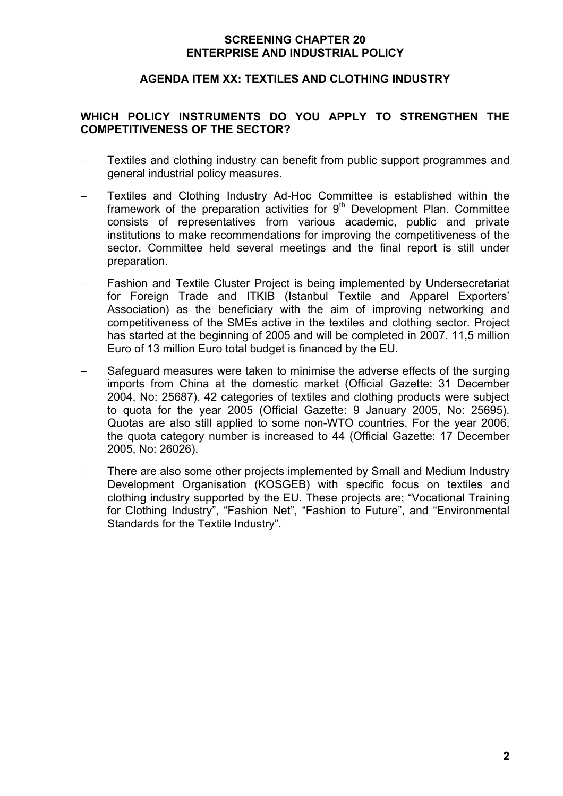#### **AGENDA ITEM XX: TEXTILES AND CLOTHING INDUSTRY**

### **WHICH POLICY INSTRUMENTS DO YOU APPLY TO STRENGTHEN THE COMPETITIVENESS OF THE SECTOR?**

- Textiles and clothing industry can benefit from public support programmes and general industrial policy measures.
- − Textiles and Clothing Industry Ad-Hoc Committee is established within the framework of the preparation activities for  $9<sup>th</sup>$  Development Plan. Committee consists of representatives from various academic, public and private institutions to make recommendations for improving the competitiveness of the sector. Committee held several meetings and the final report is still under preparation.
- Fashion and Textile Cluster Project is being implemented by Undersecretariat for Foreign Trade and ITKIB (Istanbul Textile and Apparel Exporters' Association) as the beneficiary with the aim of improving networking and competitiveness of the SMEs active in the textiles and clothing sector. Project has started at the beginning of 2005 and will be completed in 2007. 11,5 million Euro of 13 million Euro total budget is financed by the EU.
- Safeguard measures were taken to minimise the adverse effects of the surging imports from China at the domestic market (Official Gazette: 31 December 2004, No: 25687). 42 categories of textiles and clothing products were subject to quota for the year 2005 (Official Gazette: 9 January 2005, No: 25695). Quotas are also still applied to some non-WTO countries. For the year 2006, the quota category number is increased to 44 (Official Gazette: 17 December 2005, No: 26026).
- There are also some other projects implemented by Small and Medium Industry Development Organisation (KOSGEB) with specific focus on textiles and clothing industry supported by the EU. These projects are; "Vocational Training for Clothing Industry", "Fashion Net", "Fashion to Future", and "Environmental Standards for the Textile Industry".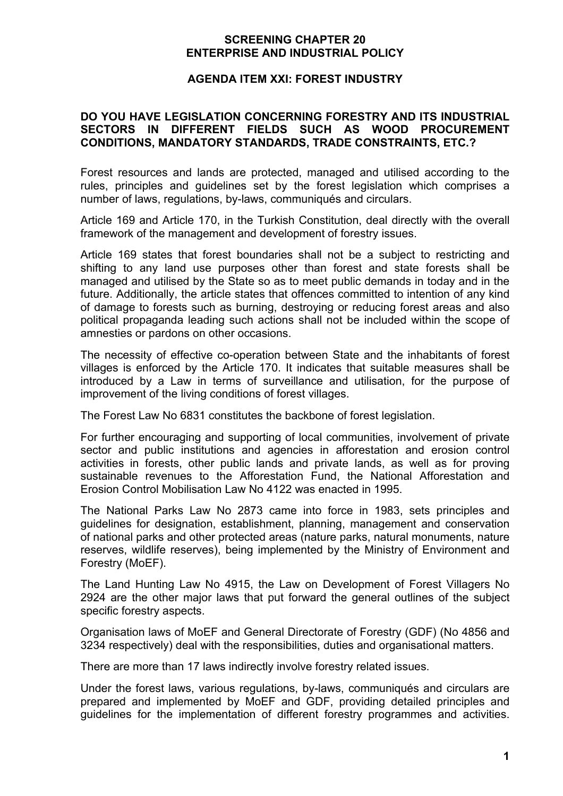#### **AGENDA ITEM XXI: FOREST INDUSTRY**

#### **DO YOU HAVE LEGISLATION CONCERNING FORESTRY AND ITS INDUSTRIAL SECTORS IN DIFFERENT FIELDS SUCH AS WOOD PROCUREMENT CONDITIONS, MANDATORY STANDARDS, TRADE CONSTRAINTS, ETC.?**

Forest resources and lands are protected, managed and utilised according to the rules, principles and guidelines set by the forest legislation which comprises a number of laws, regulations, by-laws, communiqués and circulars.

Article 169 and Article 170, in the Turkish Constitution, deal directly with the overall framework of the management and development of forestry issues.

Article 169 states that forest boundaries shall not be a subject to restricting and shifting to any land use purposes other than forest and state forests shall be managed and utilised by the State so as to meet public demands in today and in the future. Additionally, the article states that offences committed to intention of any kind of damage to forests such as burning, destroying or reducing forest areas and also political propaganda leading such actions shall not be included within the scope of amnesties or pardons on other occasions.

The necessity of effective co-operation between State and the inhabitants of forest villages is enforced by the Article 170. It indicates that suitable measures shall be introduced by a Law in terms of surveillance and utilisation, for the purpose of improvement of the living conditions of forest villages.

The Forest Law No 6831 constitutes the backbone of forest legislation.

For further encouraging and supporting of local communities, involvement of private sector and public institutions and agencies in afforestation and erosion control activities in forests, other public lands and private lands, as well as for proving sustainable revenues to the Afforestation Fund, the National Afforestation and Erosion Control Mobilisation Law No 4122 was enacted in 1995.

The National Parks Law No 2873 came into force in 1983, sets principles and guidelines for designation, establishment, planning, management and conservation of national parks and other protected areas (nature parks, natural monuments, nature reserves, wildlife reserves), being implemented by the Ministry of Environment and Forestry (MoEF).

The Land Hunting Law No 4915, the Law on Development of Forest Villagers No 2924 are the other major laws that put forward the general outlines of the subject specific forestry aspects.

Organisation laws of MoEF and General Directorate of Forestry (GDF) (No 4856 and 3234 respectively) deal with the responsibilities, duties and organisational matters.

There are more than 17 laws indirectly involve forestry related issues.

Under the forest laws, various regulations, by-laws, communiqués and circulars are prepared and implemented by MoEF and GDF, providing detailed principles and guidelines for the implementation of different forestry programmes and activities.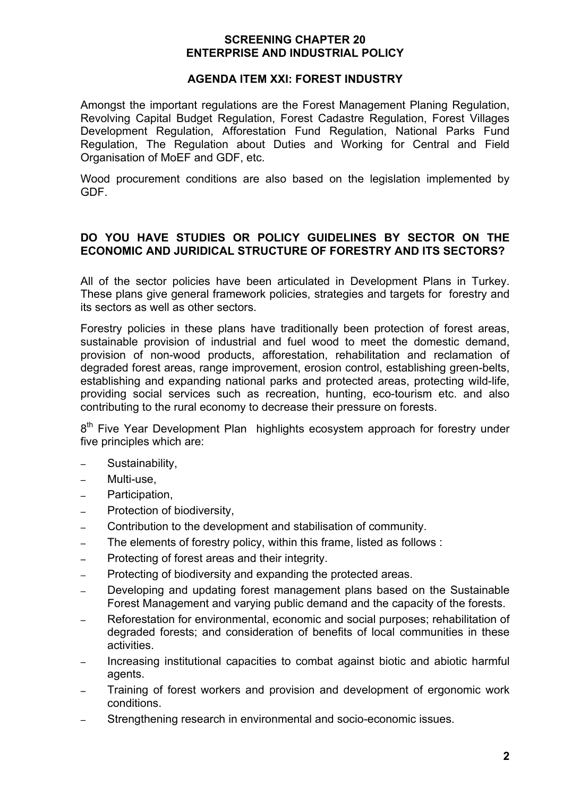#### **AGENDA ITEM XXI: FOREST INDUSTRY**

Amongst the important regulations are the Forest Management Planing Regulation, Revolving Capital Budget Regulation, Forest Cadastre Regulation, Forest Villages Development Regulation, Afforestation Fund Regulation, National Parks Fund Regulation, The Regulation about Duties and Working for Central and Field Organisation of MoEF and GDF, etc.

Wood procurement conditions are also based on the legislation implemented by GDF.

## **DO YOU HAVE STUDIES OR POLICY GUIDELINES BY SECTOR ON THE ECONOMIC AND JURIDICAL STRUCTURE OF FORESTRY AND ITS SECTORS?**

All of the sector policies have been articulated in Development Plans in Turkey. These plans give general framework policies, strategies and targets for forestry and its sectors as well as other sectors.

Forestry policies in these plans have traditionally been protection of forest areas, sustainable provision of industrial and fuel wood to meet the domestic demand, provision of non-wood products, afforestation, rehabilitation and reclamation of degraded forest areas, range improvement, erosion control, establishing green-belts, establishing and expanding national parks and protected areas, protecting wild-life, providing social services such as recreation, hunting, eco-tourism etc. and also contributing to the rural economy to decrease their pressure on forests.

8<sup>th</sup> Five Year Development Plan highlights ecosystem approach for forestry under five principles which are:

- − Sustainability,
- − Multi-use,
- − Participation,
- − Protection of biodiversity,
- − Contribution to the development and stabilisation of community.
- − The elements of forestry policy, within this frame, listed as follows :
- − Protecting of forest areas and their integrity.
- − Protecting of biodiversity and expanding the protected areas.
- − Developing and updating forest management plans based on the Sustainable Forest Management and varying public demand and the capacity of the forests.
- Reforestation for environmental, economic and social purposes; rehabilitation of degraded forests; and consideration of benefits of local communities in these activities.
- − Increasing institutional capacities to combat against biotic and abiotic harmful agents.
- Training of forest workers and provision and development of ergonomic work conditions.
- Strengthening research in environmental and socio-economic issues.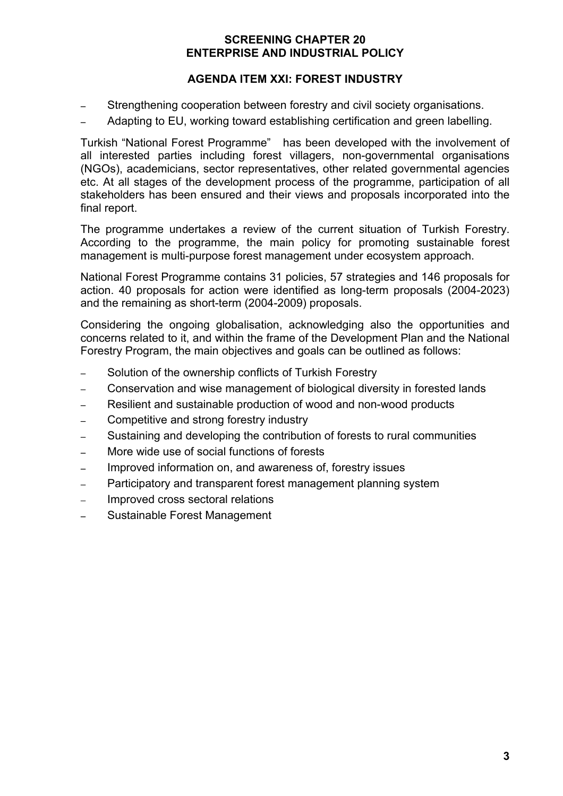## **AGENDA ITEM XXI: FOREST INDUSTRY**

- Strengthening cooperation between forestry and civil society organisations.
- − Adapting to EU, working toward establishing certification and green labelling.

Turkish "National Forest Programme" has been developed with the involvement of all interested parties including forest villagers, non-governmental organisations (NGOs), academicians, sector representatives, other related governmental agencies etc. At all stages of the development process of the programme, participation of all stakeholders has been ensured and their views and proposals incorporated into the final report.

The programme undertakes a review of the current situation of Turkish Forestry. According to the programme, the main policy for promoting sustainable forest management is multi-purpose forest management under ecosystem approach.

National Forest Programme contains 31 policies, 57 strategies and 146 proposals for action. 40 proposals for action were identified as long-term proposals (2004-2023) and the remaining as short-term (2004-2009) proposals.

Considering the ongoing globalisation, acknowledging also the opportunities and concerns related to it, and within the frame of the Development Plan and the National Forestry Program, the main objectives and goals can be outlined as follows:

- Solution of the ownership conflicts of Turkish Forestry
- − Conservation and wise management of biological diversity in forested lands
- − Resilient and sustainable production of wood and non-wood products
- − Competitive and strong forestry industry
- Sustaining and developing the contribution of forests to rural communities
- − More wide use of social functions of forests
- Improved information on, and awareness of, forestry issues
- − Participatory and transparent forest management planning system
- − Improved cross sectoral relations
- − Sustainable Forest Management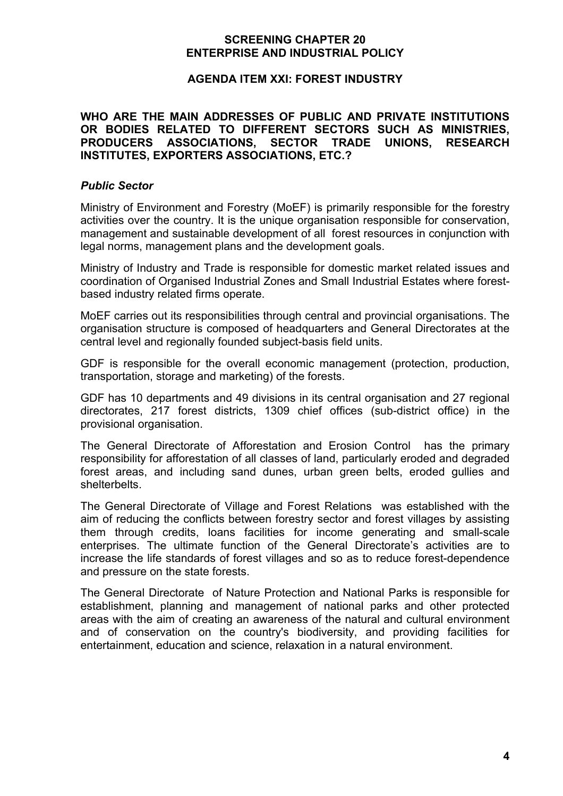#### **AGENDA ITEM XXI: FOREST INDUSTRY**

#### **WHO ARE THE MAIN ADDRESSES OF PUBLIC AND PRIVATE INSTITUTIONS OR BODIES RELATED TO DIFFERENT SECTORS SUCH AS MINISTRIES, PRODUCERS ASSOCIATIONS, SECTOR TRADE UNIONS, RESEARCH INSTITUTES, EXPORTERS ASSOCIATIONS, ETC.?**

#### *Public Sector*

Ministry of Environment and Forestry (MoEF) is primarily responsible for the forestry activities over the country. It is the unique organisation responsible for conservation, management and sustainable development of all forest resources in conjunction with legal norms, management plans and the development goals.

Ministry of Industry and Trade is responsible for domestic market related issues and coordination of Organised Industrial Zones and Small Industrial Estates where forestbased industry related firms operate.

MoEF carries out its responsibilities through central and provincial organisations. The organisation structure is composed of headquarters and General Directorates at the central level and regionally founded subject-basis field units.

GDF is responsible for the overall economic management (protection, production, transportation, storage and marketing) of the forests.

GDF has 10 departments and 49 divisions in its central organisation and 27 regional directorates, 217 forest districts, 1309 chief offices (sub-district office) in the provisional organisation.

The General Directorate of Afforestation and Erosion Control has the primary responsibility for afforestation of all classes of land, particularly eroded and degraded forest areas, and including sand dunes, urban green belts, eroded gullies and shelterbelts.

The General Directorate of Village and Forest Relations was established with the aim of reducing the conflicts between forestry sector and forest villages by assisting them through credits, loans facilities for income generating and small-scale enterprises. The ultimate function of the General Directorate's activities are to increase the life standards of forest villages and so as to reduce forest-dependence and pressure on the state forests.

The General Directorate of Nature Protection and National Parks is responsible for establishment, planning and management of national parks and other protected areas with the aim of creating an awareness of the natural and cultural environment and of conservation on the country's biodiversity, and providing facilities for entertainment, education and science, relaxation in a natural environment.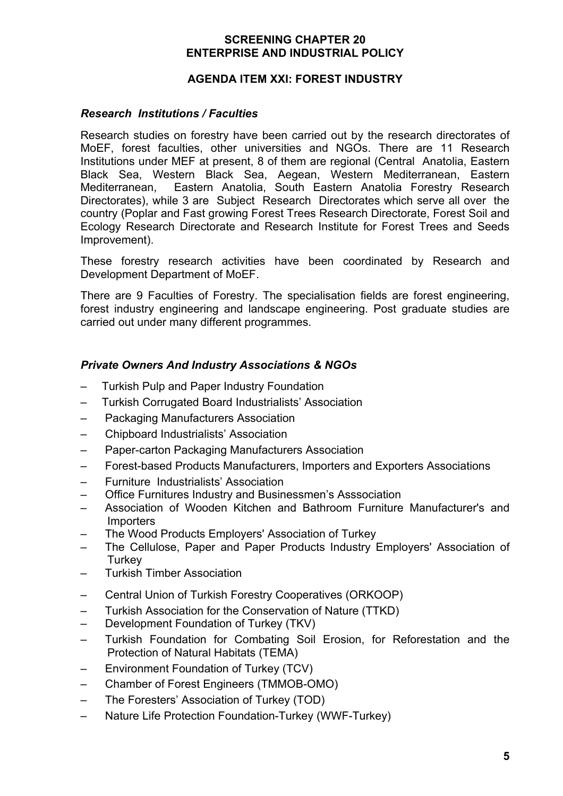#### **AGENDA ITEM XXI: FOREST INDUSTRY**

### *Research Institutions / Faculties*

Research studies on forestry have been carried out by the research directorates of MoEF, forest faculties, other universities and NGOs. There are 11 Research Institutions under MEF at present, 8 of them are regional (Central Anatolia, Eastern Black Sea, Western Black Sea, Aegean, Western Mediterranean, Eastern Mediterranean, Eastern Anatolia, South Eastern Anatolia Forestry Research Directorates), while 3 are Subject Research Directorates which serve all over the country (Poplar and Fast growing Forest Trees Research Directorate, Forest Soil and Ecology Research Directorate and Research Institute for Forest Trees and Seeds Improvement).

These forestry research activities have been coordinated by Research and Development Department of MoEF.

There are 9 Faculties of Forestry. The specialisation fields are forest engineering, forest industry engineering and landscape engineering. Post graduate studies are carried out under many different programmes.

## *Private Owners And Industry Associations & NGOs*

- Turkish Pulp and Paper Industry Foundation
- Turkish Corrugated Board Industrialists' Association
- Packaging Manufacturers Association
- Chipboard Industrialists' Association
- Paper-carton Packaging Manufacturers Association
- Forest-based Products Manufacturers, Importers and Exporters Associations
- Furniture Industrialists' Association
- Office Furnitures Industry and Businessmen's Asssociation
- Association of Wooden Kitchen and Bathroom Furniture Manufacturer's and **Importers**
- The Wood Products Employers' Association of Turkey
- The Cellulose, Paper and Paper Products Industry Employers' Association of **Turkey**
- Turkish Timber Association
- Central Union of Turkish Forestry Cooperatives (ORKOOP)
- Turkish Association for the Conservation of Nature (TTKD)
- Development Foundation of Turkey (TKV)
- Turkish Foundation for Combating Soil Erosion, for Reforestation and the Protection of Natural Habitats (TEMA)
- Environment Foundation of Turkey (TCV)
- Chamber of Forest Engineers (TMMOB-OMO)
- The Foresters' Association of Turkey (TOD)
- Nature Life Protection Foundation-Turkey (WWF-Turkey)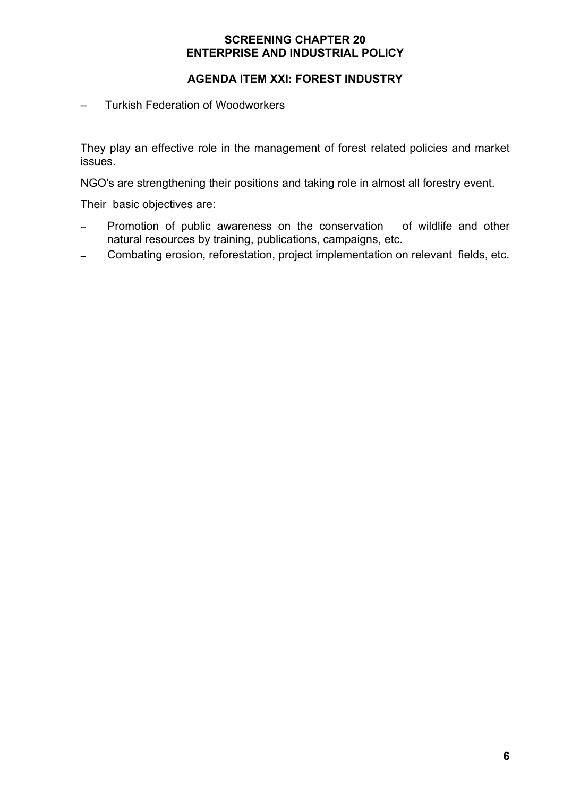## **AGENDA ITEM XXI: FOREST INDUSTRY**

– Turkish Federation of Woodworkers

They play an effective role in the management of forest related policies and market issues.

NGO's are strengthening their positions and taking role in almost all forestry event.

Their basic objectives are:

- Promotion of public awareness on the conservation of wildlife and other natural resources by training, publications, campaigns, etc.
- − Combating erosion, reforestation, project implementation on relevant fields, etc.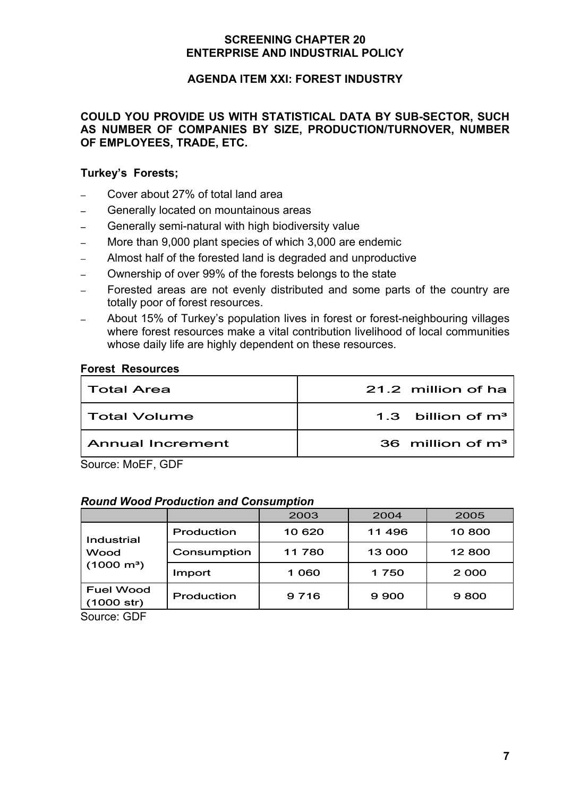## **AGENDA ITEM XXI: FOREST INDUSTRY**

#### **COULD YOU PROVIDE US WITH STATISTICAL DATA BY SUB-SECTOR, SUCH AS NUMBER OF COMPANIES BY SIZE, PRODUCTION/TURNOVER, NUMBER OF EMPLOYEES, TRADE, ETC.**

### **Turkey's Forests;**

- − Cover about 27% of total land area
- − Generally located on mountainous areas
- − Generally semi-natural with high biodiversity value
- More than 9,000 plant species of which 3,000 are endemic
- Almost half of the forested land is degraded and unproductive
- − Ownership of over 99% of the forests belongs to the state
- Forested areas are not evenly distributed and some parts of the country are totally poor of forest resources.
- About 15% of Turkey's population lives in forest or forest-neighbouring villages where forest resources make a vital contribution livelihood of local communities whose daily life are highly dependent on these resources.

#### **Forest Resources**

| Total Area       | 21.2 million of ha  |
|------------------|---------------------|
| Total Volume     | 1.3 billion of $m3$ |
| Annual Increment | 36 million of $m3$  |

Source: MoEF, GDF

#### *Round Wood Production and Consumption*

|                                       |             | 2003    | 2004   | 2005    |
|---------------------------------------|-------------|---------|--------|---------|
| Industrial                            | Production  | 10 620  | 11 496 | 10 800  |
| Wood                                  | Consumption | 11 780  | 13 000 | 12800   |
| $(1000 \; \text{m}^3)$                | Import      | 1 060   | 1750   | 2 0 0 0 |
| <b>Fuel Wood</b><br>(1000 str)        | Production  | 9 7 1 6 | 9900   | 9800    |
| $\sim$ $\sim$<br>$\sim$ $\sim$ $\sim$ |             |         |        |         |

Source: GDF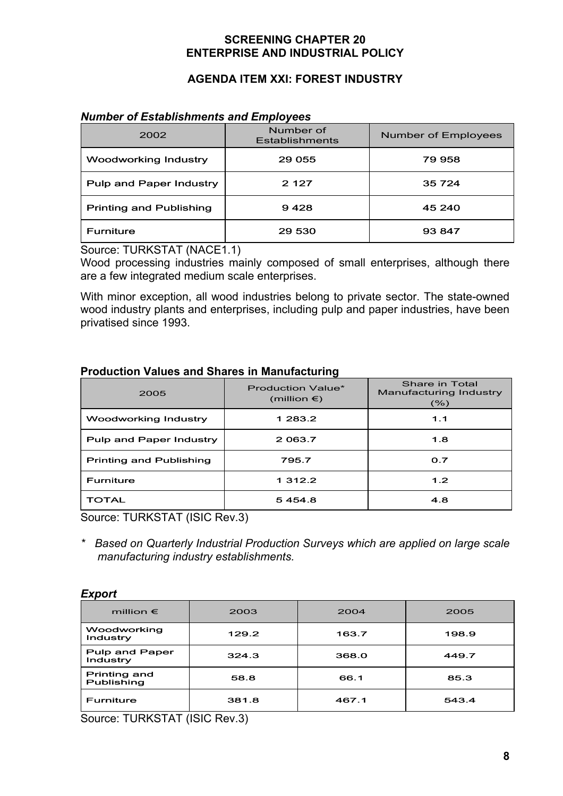# **AGENDA ITEM XXI: FOREST INDUSTRY**

#### *Number of Establishments and Employees*

| 2002                           | Number of<br><b>Establishments</b> | Number of Employees |
|--------------------------------|------------------------------------|---------------------|
| <b>Woodworking Industry</b>    | 29 055                             | 79 958              |
| Pulp and Paper Industry        | 2 1 2 7                            | 35 7 24             |
| <b>Printing and Publishing</b> | 9428                               | 45 240              |
| <b>Furniture</b>               | 29 530                             | 93 847              |

Source: TURKSTAT (NACE1.1)

Wood processing industries mainly composed of small enterprises, although there are a few integrated medium scale enterprises.

With minor exception, all wood industries belong to private sector. The state-owned wood industry plants and enterprises, including pulp and paper industries, have been privatised since 1993.

## **Production Values and Shares in Manufacturing**

| 2005                           | <b>Production Value*</b><br>(million $\epsilon$ ) | Share in Total<br>Manufacturing Industry<br>(% ) |
|--------------------------------|---------------------------------------------------|--------------------------------------------------|
| Woodworking Industry           | 1 283.2                                           | 1.1                                              |
| Pulp and Paper Industry        | 2 0 63.7                                          | 1.8                                              |
| <b>Printing and Publishing</b> | 795.7                                             | 0.7                                              |
| Furniture                      | 1 3 1 2 . 2                                       | 1.2                                              |
| TOTAL                          | 5454.8                                            | 4.8                                              |

Source: TURKSTAT (ISIC Rev.3)

*\* Based on Quarterly Industrial Production Surveys which are applied on large scale manufacturing industry establishments.* 

#### *Export*

| million $\epsilon$         | 2003  | 2004  | 2005  |
|----------------------------|-------|-------|-------|
| Woodworking<br>Industry    | 129.2 | 163.7 | 198.9 |
| Pulp and Paper<br>Industry | 324.3 | 368.0 | 449.7 |
| Printing and<br>Publishing | 58.8  | 66.1  | 85.3  |
| <b>Furniture</b>           | 381.8 | 467.1 | 543.4 |

Source: TURKSTAT (ISIC Rev.3)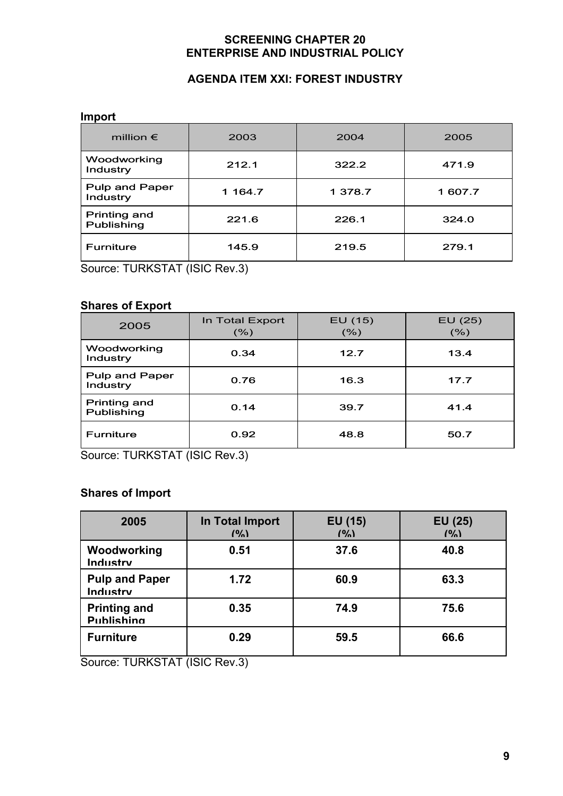# **AGENDA ITEM XXI: FOREST INDUSTRY**

#### **Import**

| million $\epsilon$         | 2003    | 2004    | 2005    |
|----------------------------|---------|---------|---------|
| Woodworking<br>Industry    | 212.1   | 322.2   | 471.9   |
| Pulp and Paper<br>Industry | 1 164.7 | 1 378.7 | 1 607.7 |
| Printing and<br>Publishing | 221.6   | 226.1   | 324.0   |
| <b>Furniture</b>           | 145.9   | 219.5   | 279.1   |

Source: TURKSTAT (ISIC Rev.3)

## **Shares of Export**

| 2005                       | In Total Export<br>$(\% )$ | EU(15)<br>(% ) | EU (25)<br>(%) |
|----------------------------|----------------------------|----------------|----------------|
| Woodworking<br>Industry    | 0.34                       | 12.7           | 13.4           |
| Pulp and Paper<br>Industry | 0.76                       | 16.3           | 17.7           |
| Printing and<br>Publishing | 0.14                       | 39.7           | 41.4           |
| <b>Furniture</b>           | 0.92                       | 48.8           | 50.7           |

Source: TURKSTAT (ISIC Rev.3)

# **Shares of Import**

| 2005                                     | In Total Import<br>(9) | EU (15)<br>(9/2) | EU (25)<br>(9/2) |
|------------------------------------------|------------------------|------------------|------------------|
| Woodworking<br>Industry                  | 0.51                   | 37.6             | 40.8             |
| <b>Pulp and Paper</b><br>Industry        | 1.72                   | 60.9             | 63.3             |
| <b>Printing and</b><br><b>Publishing</b> | 0.35                   | 74.9             | 75.6             |
| <b>Furniture</b>                         | 0.29                   | 59.5             | 66.6             |

Source: TURKSTAT (ISIC Rev.3)